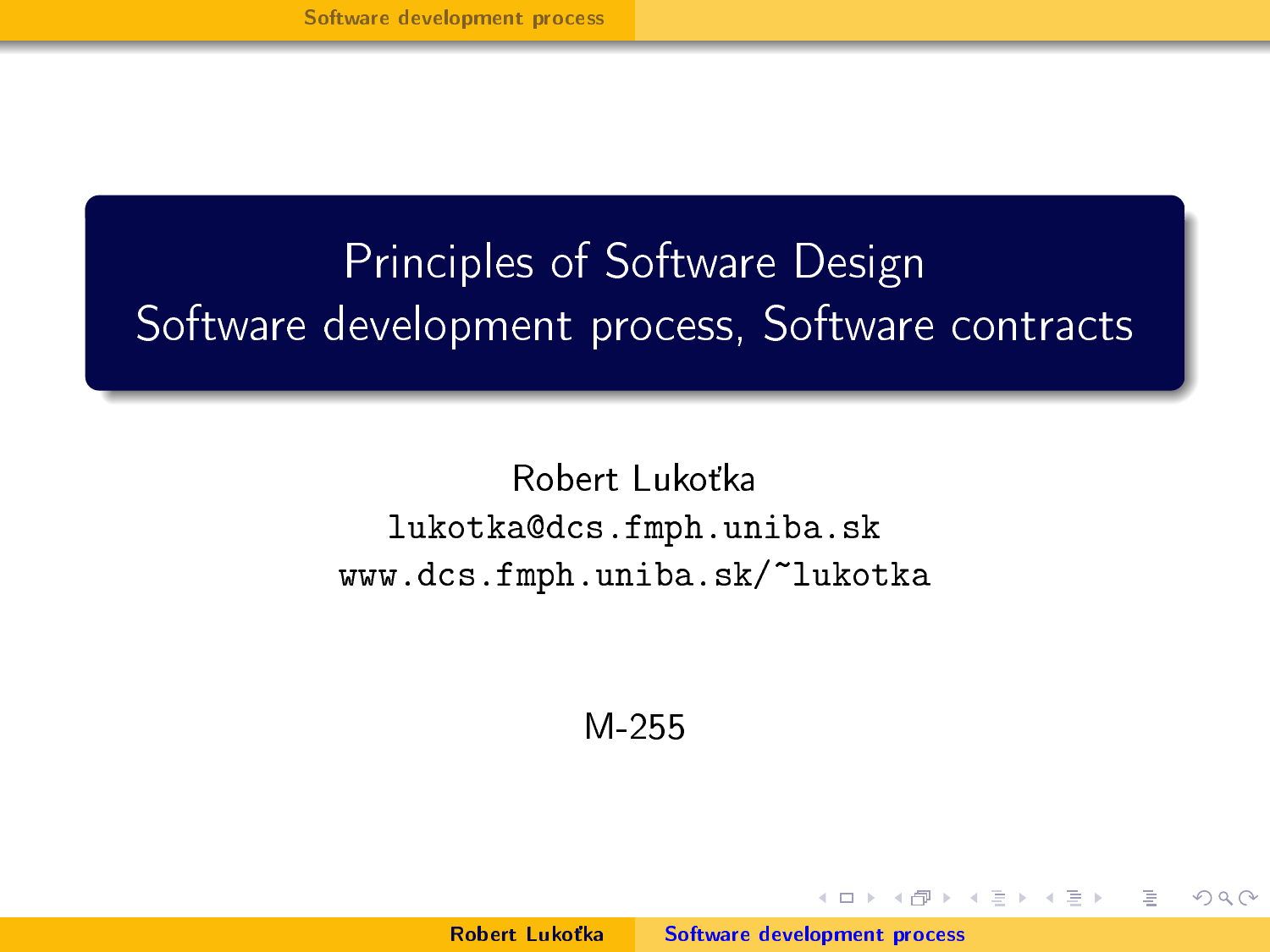# <span id="page-0-0"></span>Principles of Software Design Software development process, Software contracts

Robert Lukoťka lukotka@dcs.fmph.uniba.sk www.dcs.fmph.uniba.sk/~lukotka

M-255

Robert Lukotka [Software development process](#page-28-0)

 $1.7 + 1.7 + 1.7$ 

 $\equiv$   $\rightarrow$ 

重量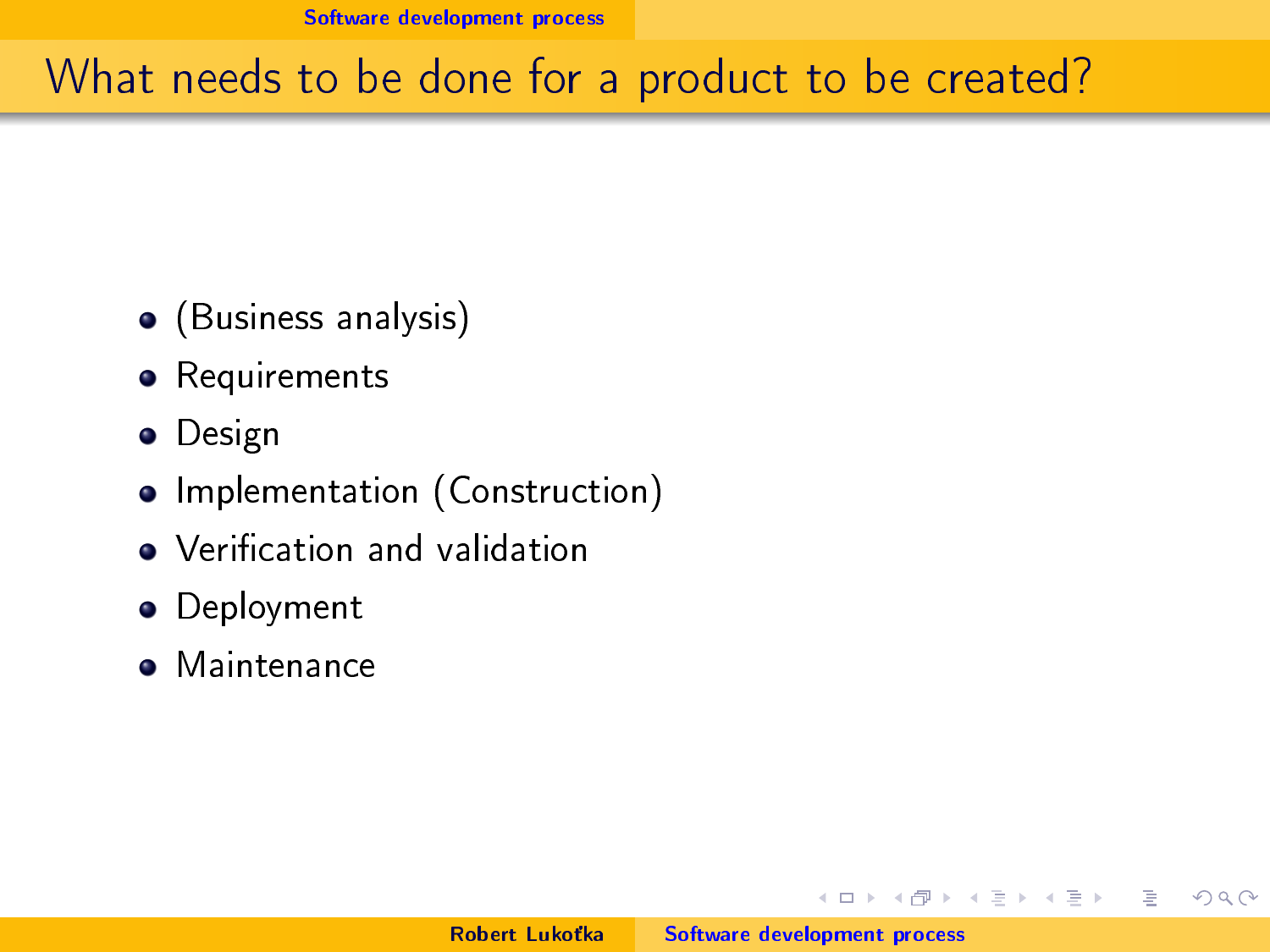# <span id="page-1-0"></span>What needs to be done for a product to be created?

- (Business analysis)
- **•** Requirements
- **•** Design
- Implementation (Construction)
- Verification and validation
- **•** Deployment
- **•** Maintenance

 $1.7 + 1.7 + 1.7$ 

重き  $\equiv$ 

 $\equiv$   $\rightarrow$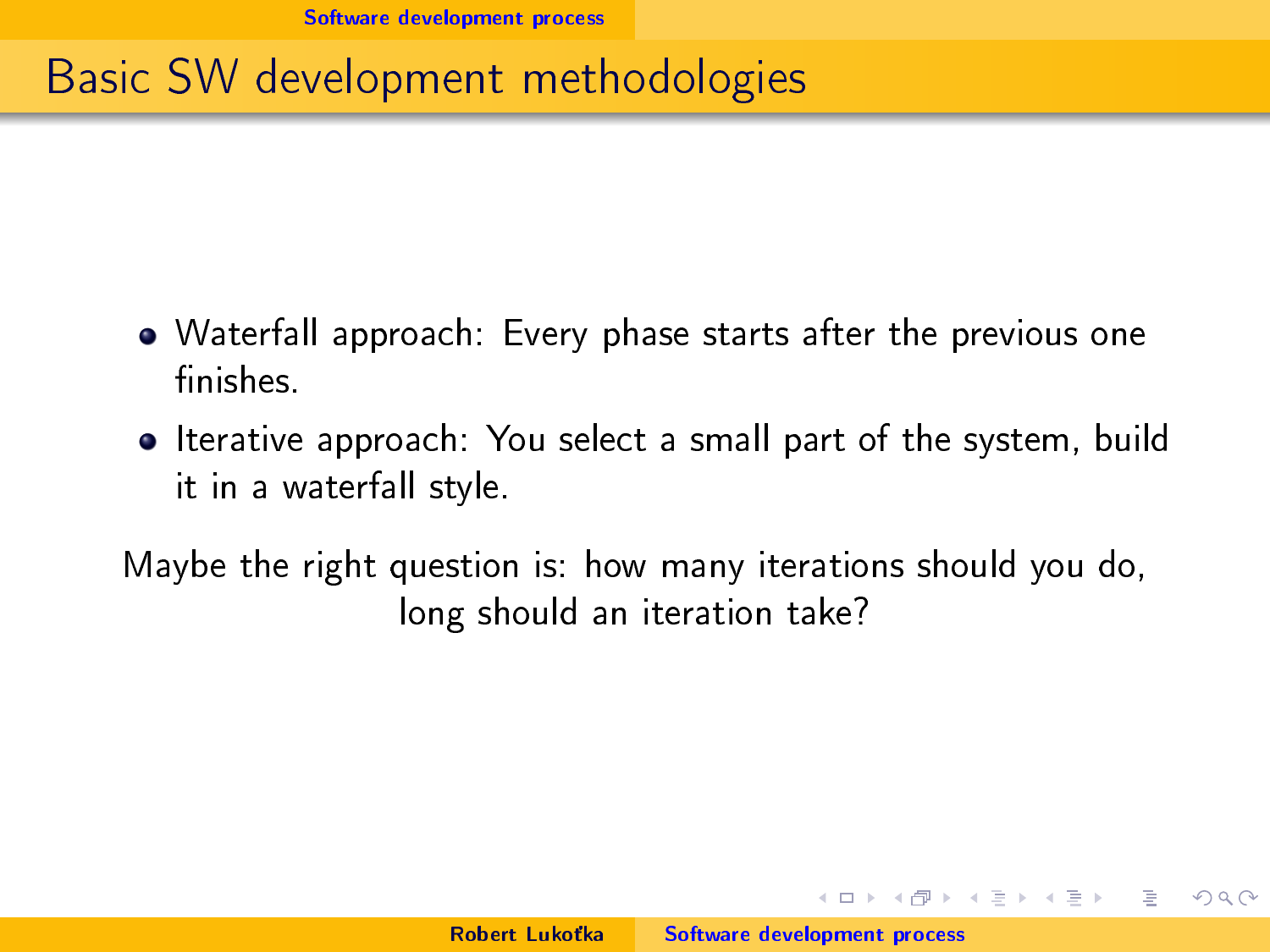# Basic SW development methodologies

- Waterfall approach: Every phase starts after the previous one finishes.
- Iterative approach: You select a small part of the system, build it in a waterfall style.

Maybe the right question is: how many iterations should you do, long should an iteration take?

 $4.71 \times 4.77 \times$ 

(手) ()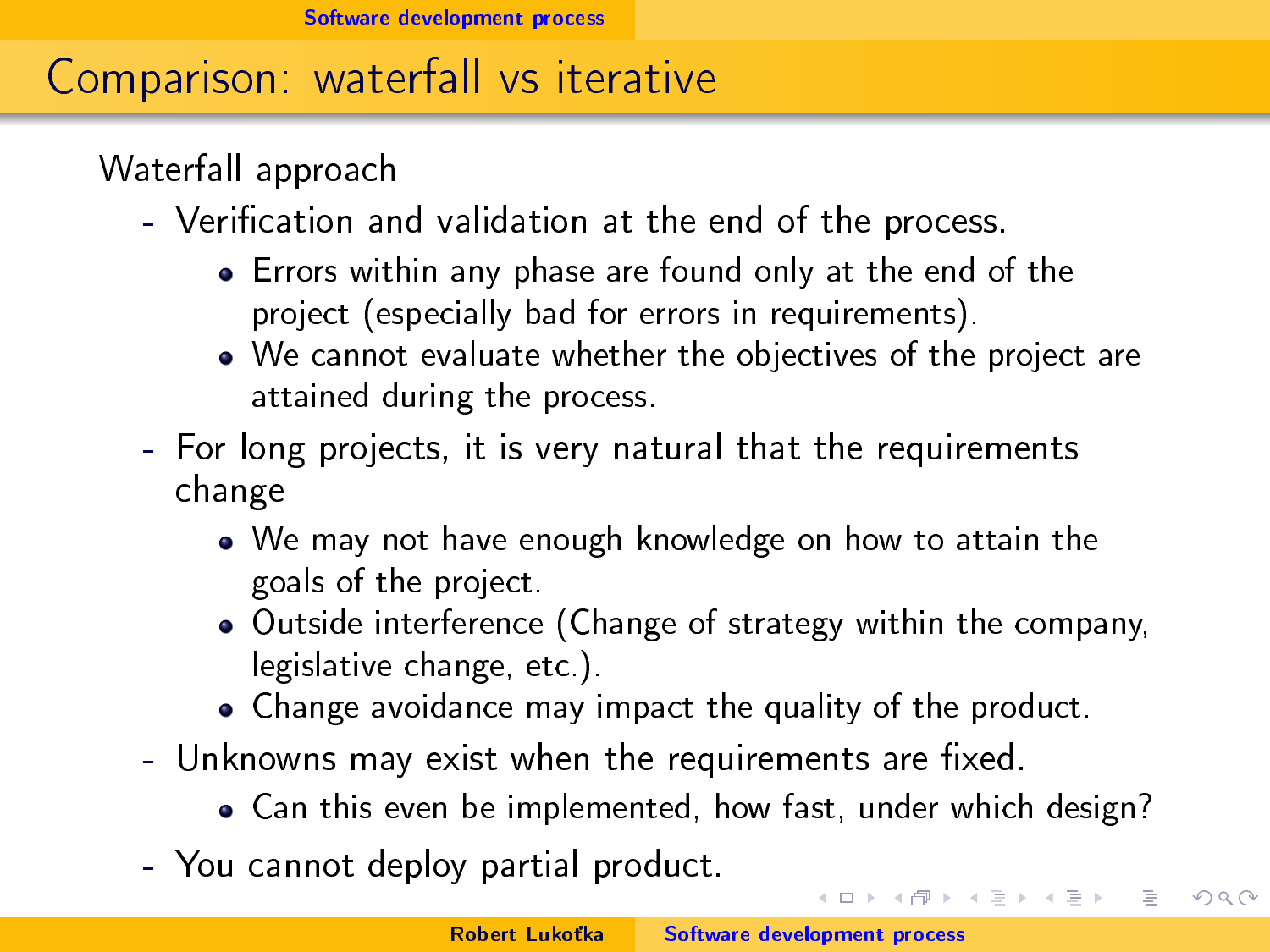# Comparison: waterfall vs iterative

Waterfall approach

- Verification and validation at the end of the process.
	- Errors within any phase are found only at the end of the project (especially bad for errors in requirements).
	- We cannot evaluate whether the objectives of the project are attained during the process.
- For long projects, it is very natural that the requirements change
	- We may not have enough knowledge on how to attain the goals of the project.
	- Outside interference (Change of strategy within the company, legislative change, etc.).
	- Change avoidance may impact the quality of the product.
- Unknowns may exist when the requirements are fixed.
	- Can this even be implemented, how fast, under which design?
- You cannot deploy partial product.

メロト メタト メミト メミト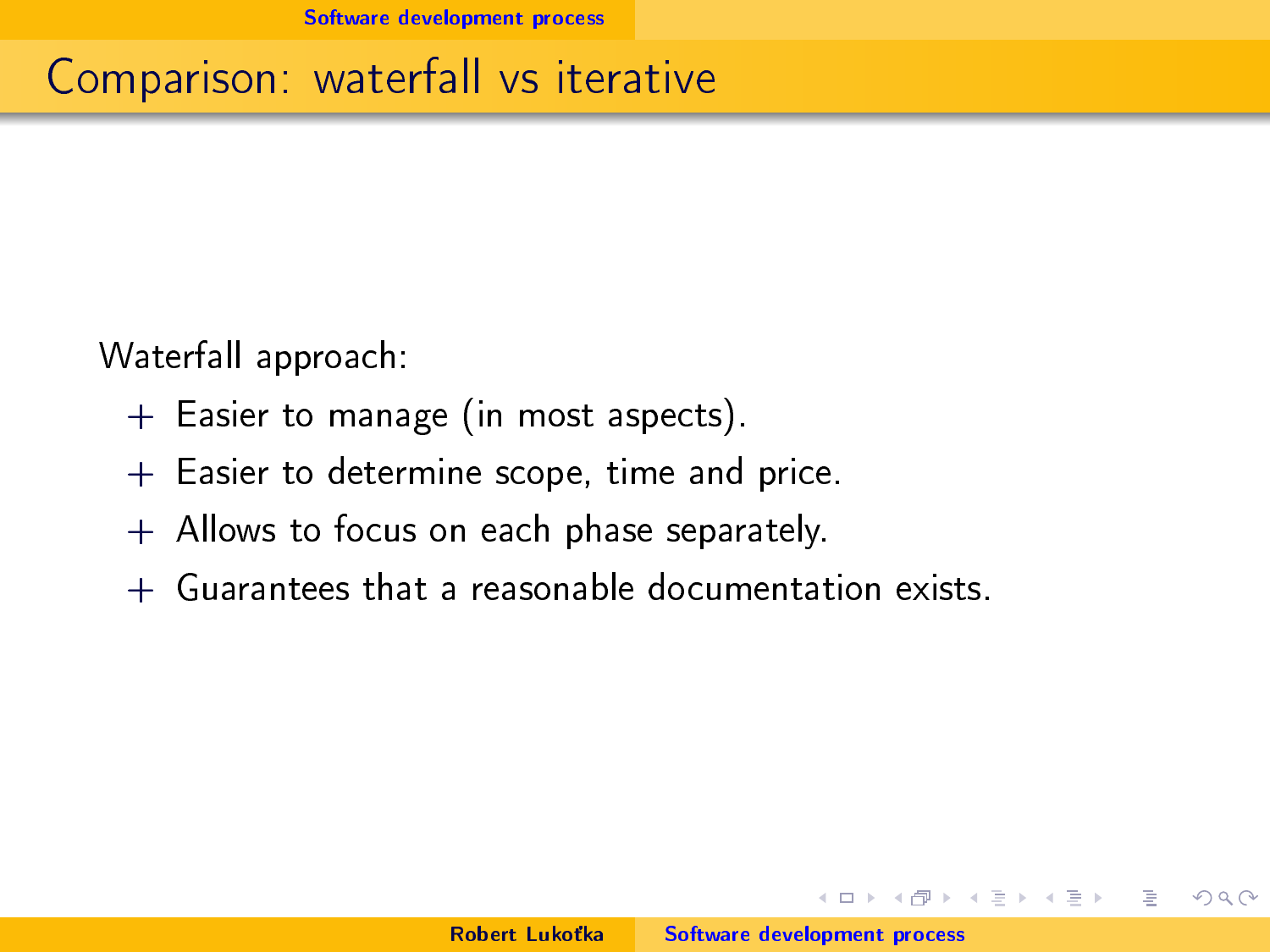# Comparison: waterfall vs iterative

Waterfall approach:

- + Easier to manage (in most aspects).
- + Easier to determine scope, time and price.
- + Allows to focus on each phase separately.
- + Guarantees that a reasonable documentation exists.

 $1.7 + 1.7 + 1.7$ 

重量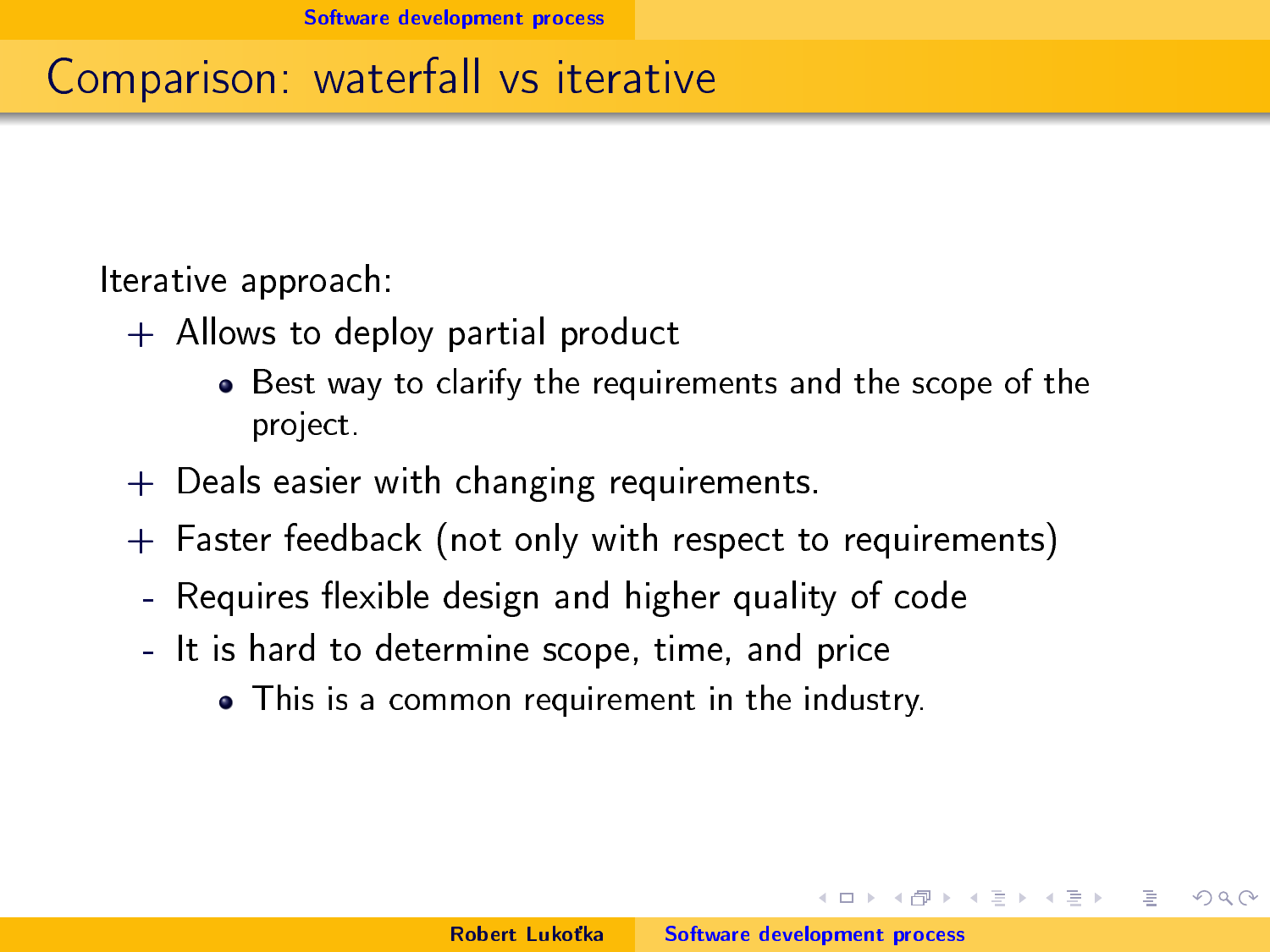# Comparison: waterfall vs iterative

Iterative approach:

- + Allows to deploy partial product
	- Best way to clarify the requirements and the scope of the project.
- + Deals easier with changing requirements.
- + Faster feedback (not only with respect to requirements)
	- Requires flexible design and higher quality of code
	- It is hard to determine scope, time, and price
		- This is a common requirement in the industry.

イロト イ母 トイラト

 $\rightarrow$   $\pm$   $\rightarrow$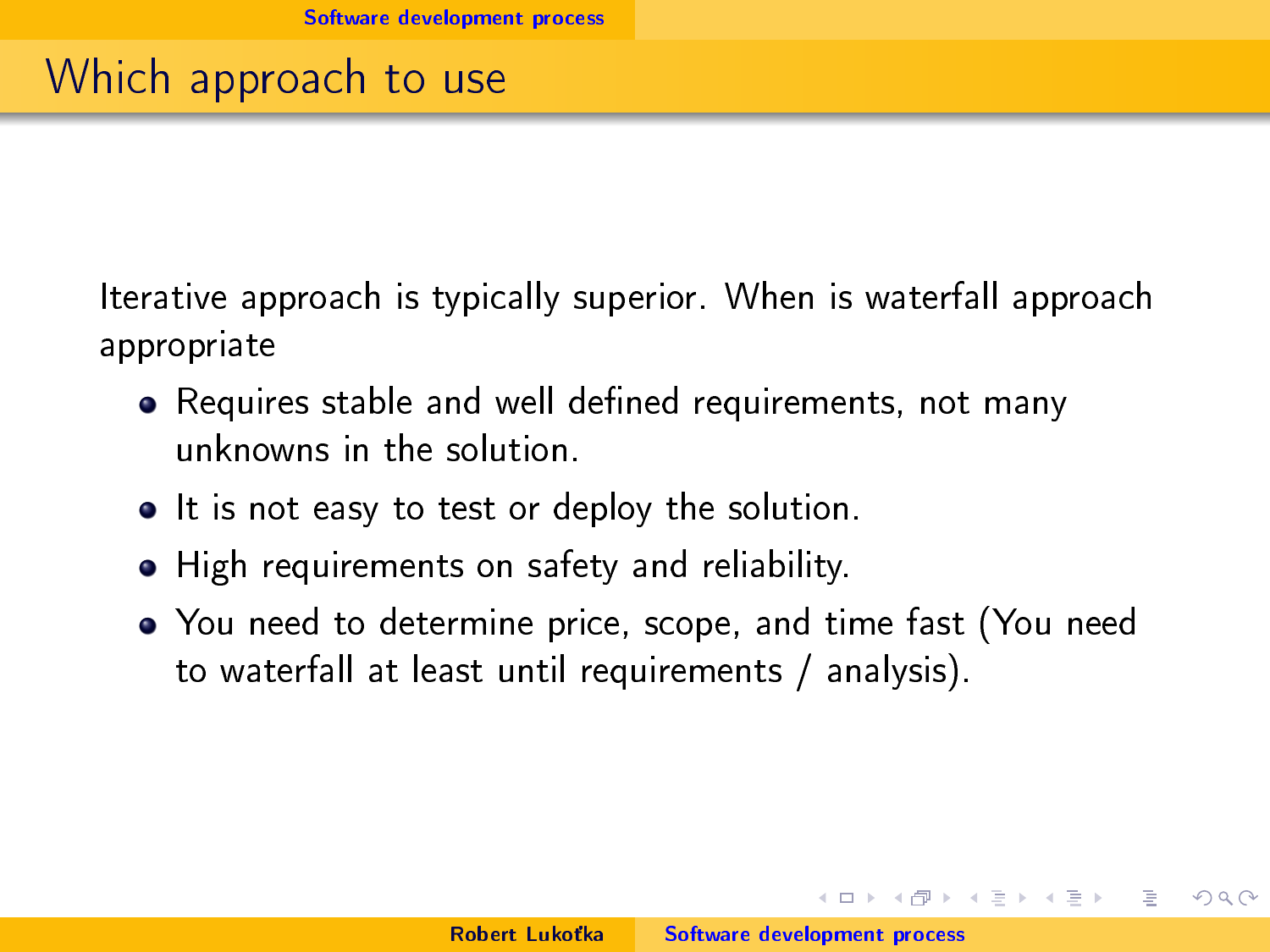#### Which approach to use

Iterative approach is typically superior. When is waterfall approach appropriate

- Requires stable and well defined requirements, not many unknowns in the solution.
- It is not easy to test or deploy the solution.
- High requirements on safety and reliability.
- You need to determine price, scope, and time fast (You need to waterfall at least until requirements / analysis).

 $4.71 \times 4.77 \times 4.77 \times$ 

**All Britain**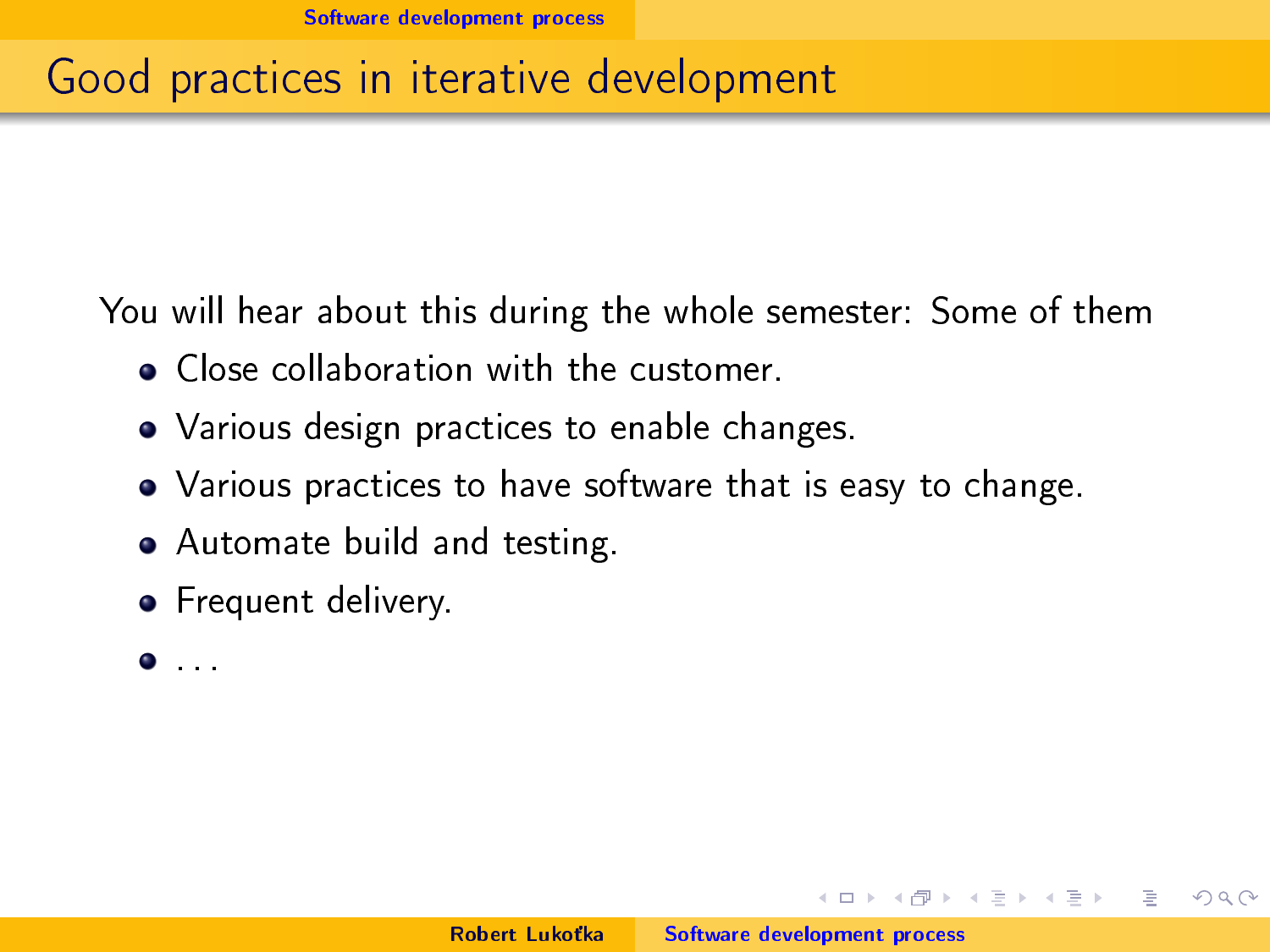# Good practices in iterative development

You will hear about this during the whole semester: Some of them

- **Close collaboration with the customer.**
- Various design practices to enable changes.
- Various practices to have software that is easy to change.
- Automate build and testing.
- **•** Frequent delivery.
- . . .

 $4.71 \times 4.77 \times$ 

 $\equiv$   $\rightarrow$ 

**ALCOHOL:**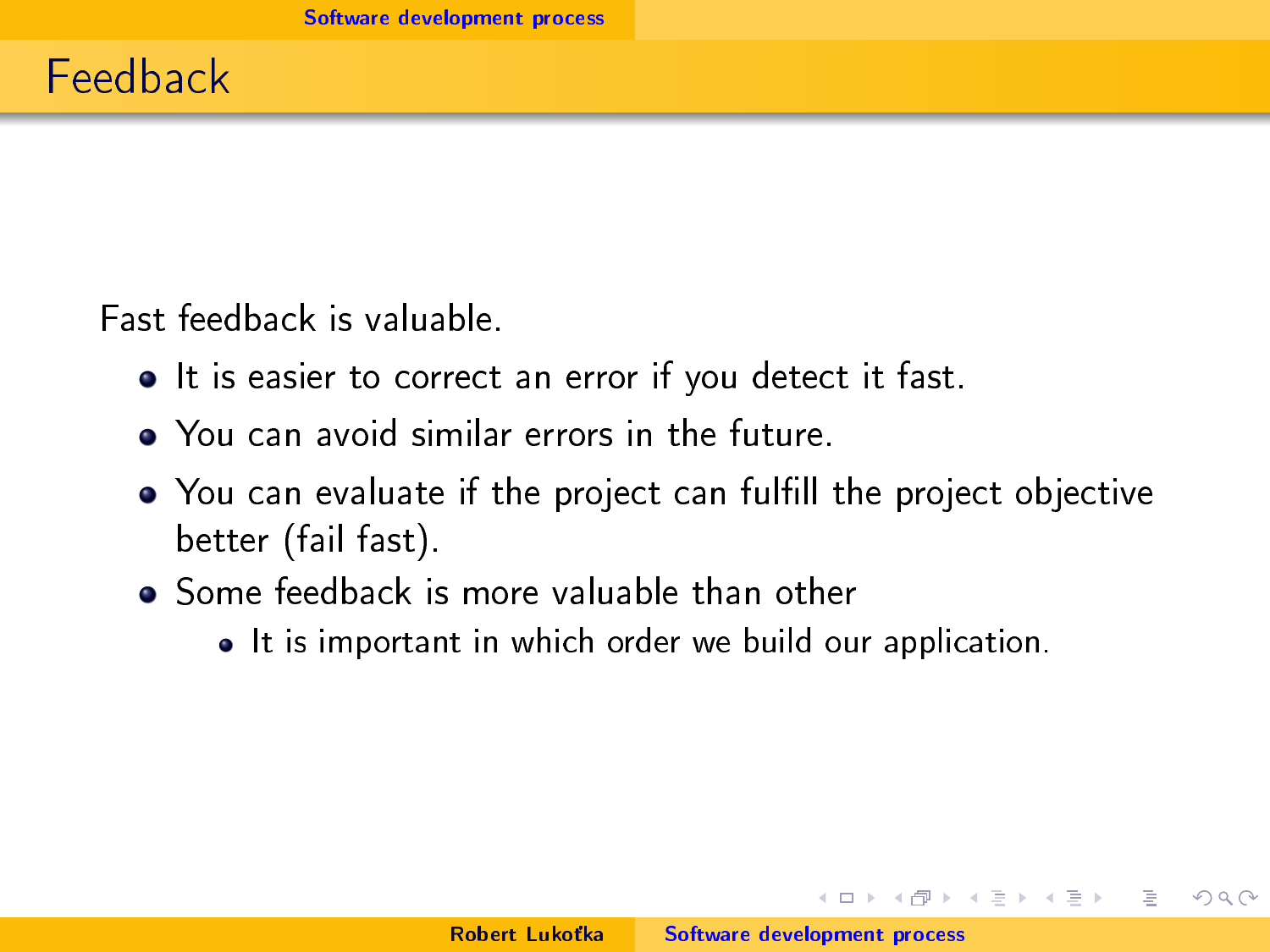Fast feedback is valuable.

- It is easier to correct an error if you detect it fast.
- You can avoid similar errors in the future.
- You can evaluate if the project can fulfill the project objective better (fail fast).
- Some feedback is more valuable than other
	- It is important in which order we build our application.

 $1.7 + 1.7 + 1.7$ 

重量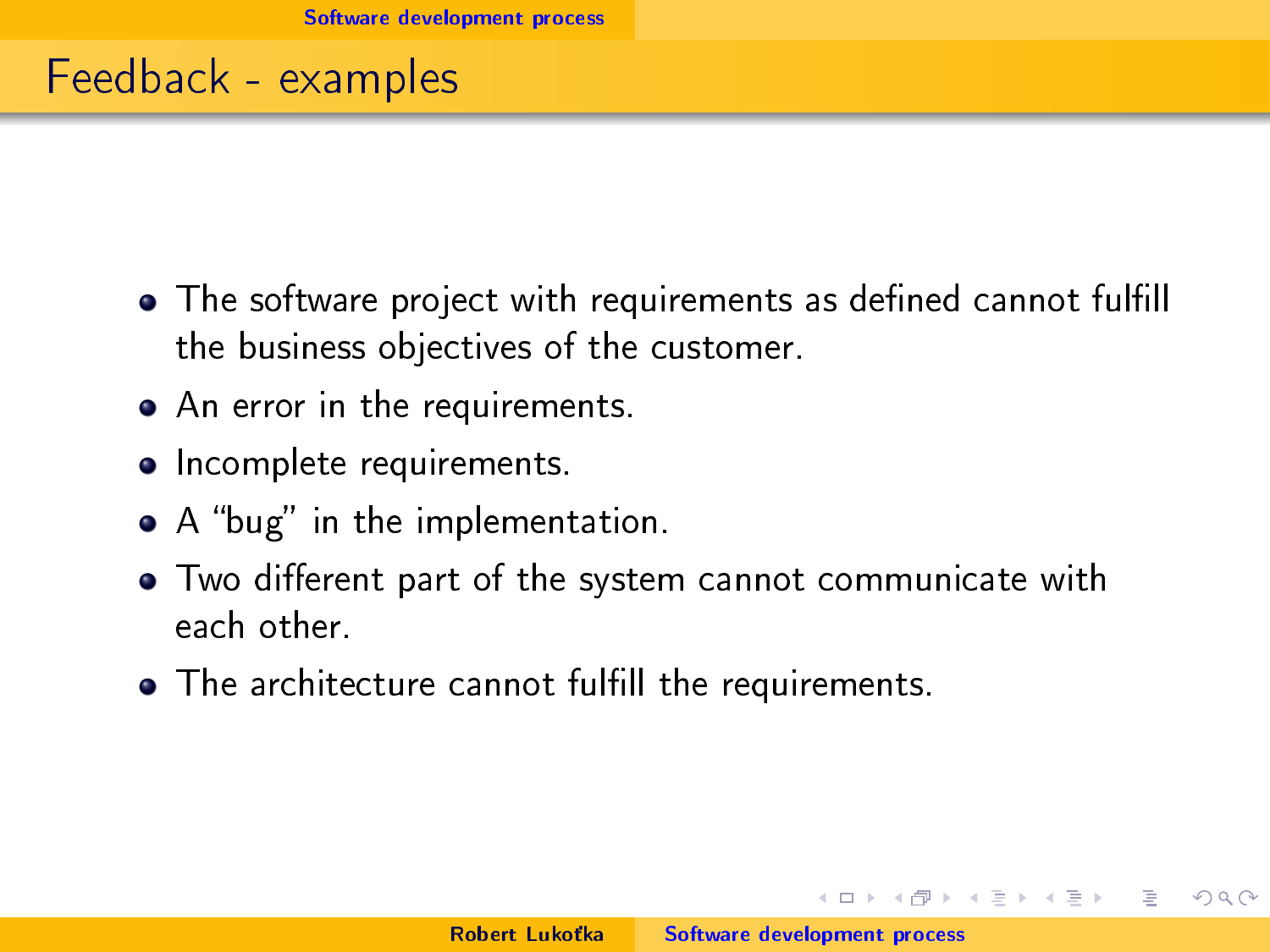#### Feedback - examples

- The software project with requirements as defined cannot fulfill the business objectives of the customer.
- An error in the requirements.
- Incomplete requirements.
- $\bullet$  A "bug" in the implementation.
- Two different part of the system cannot communicate with each other.
- The architecture cannot fulfill the requirements.

 $1.7 + 1.7 + 1.7$ 

 $\equiv$   $\rightarrow$  $\rightarrow \pm \rightarrow$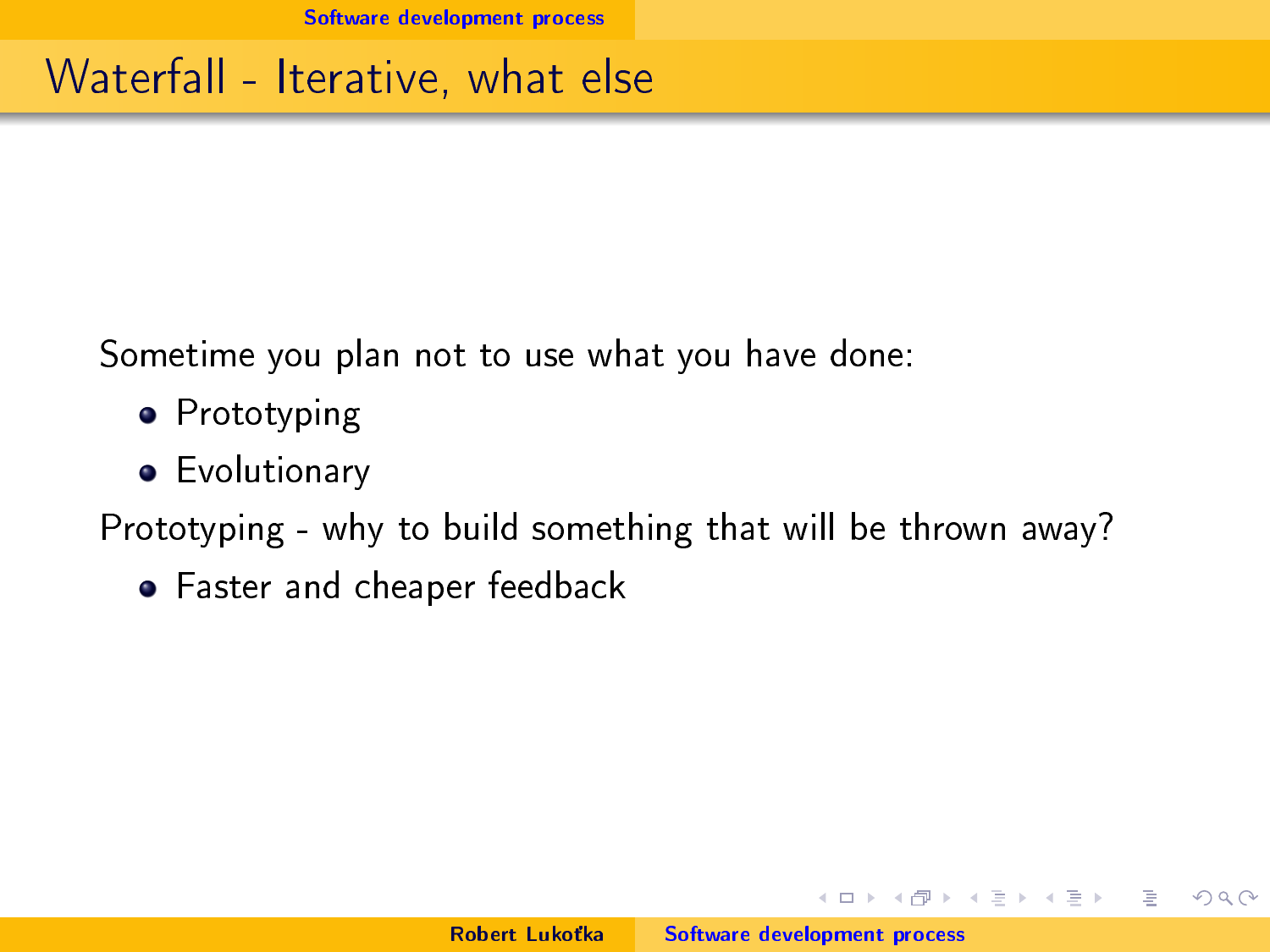#### Waterfall - Iterative, what else

Sometime you plan not to use what you have done:

- **•** Prototyping
- **•** Evolutionary

Prototyping - why to build something that will be thrown away?

Faster and cheaper feedback

イロト マ母 トマ ヨト マ ヨトー

 $\equiv$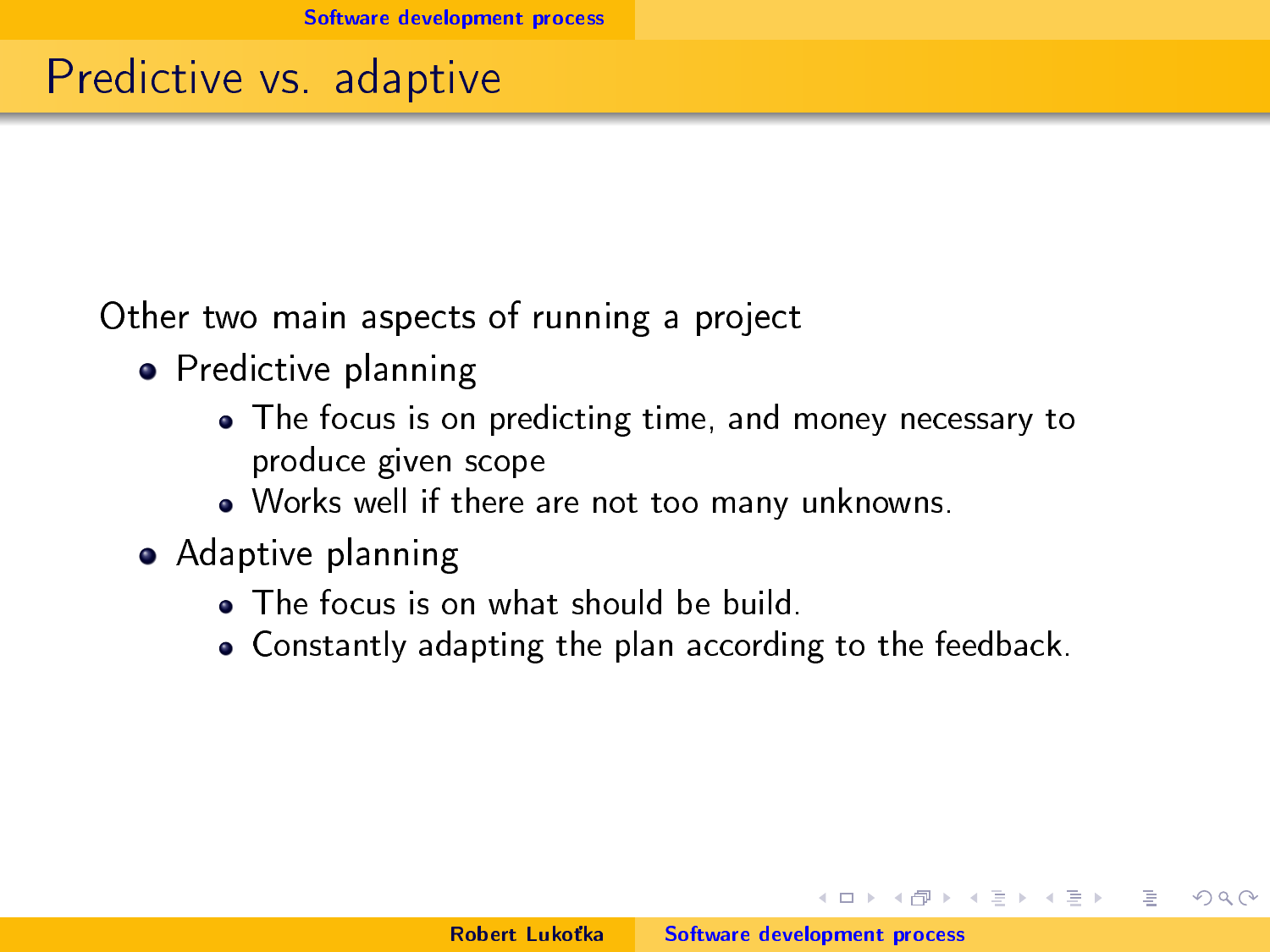#### Predictive vs. adaptive

Other two main aspects of running a project

- **•** Predictive planning
	- The focus is on predicting time, and money necessary to produce given scope
	- Works well if there are not too many unknowns.
- Adaptive planning
	- The focus is on what should be build.
	- Constantly adapting the plan according to the feedback.

イロト イ母 トイラト

**All Brakers**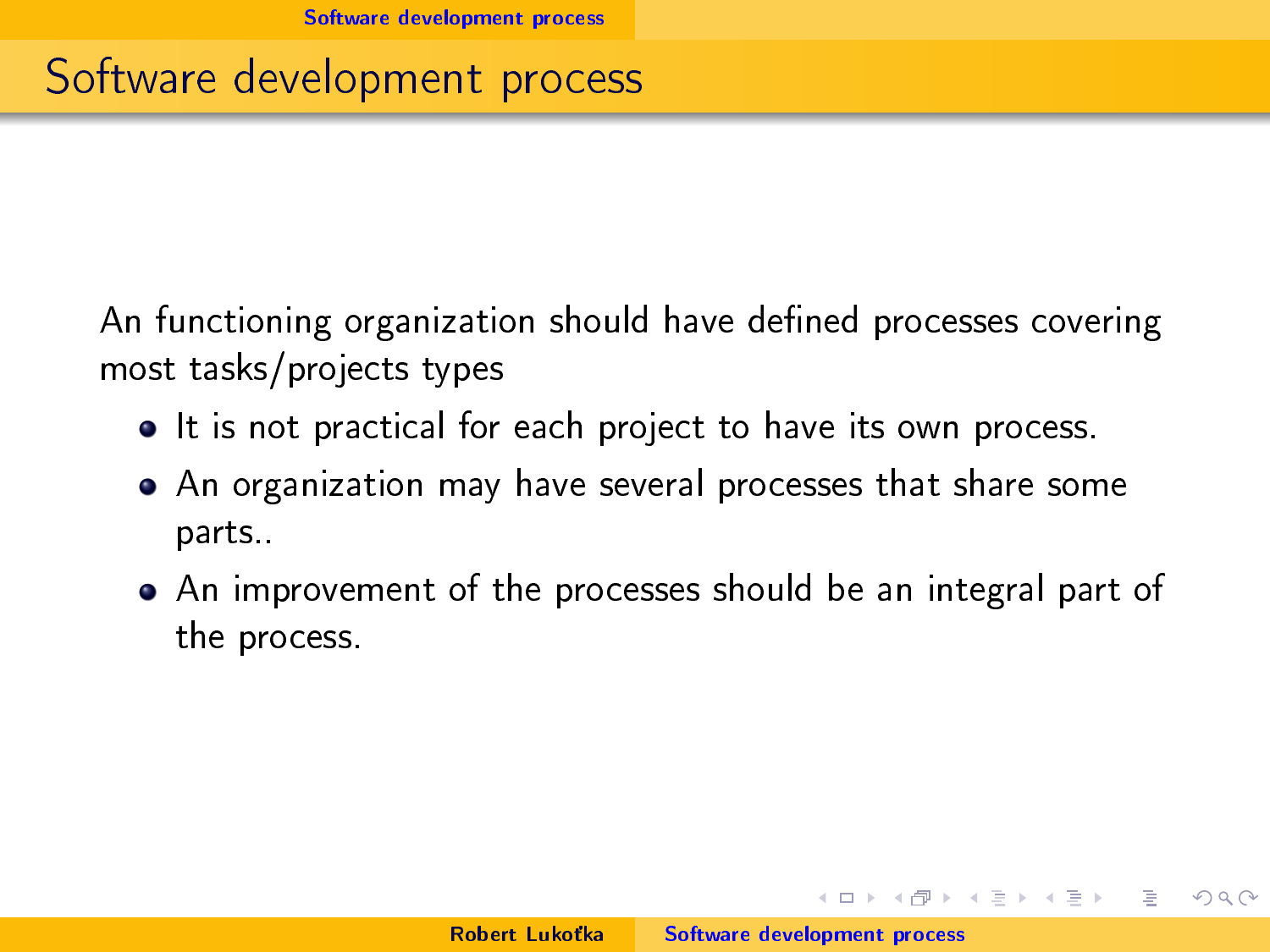#### Software development process

An functioning organization should have defined processes covering most tasks/projects types

- It is not practical for each project to have its own process.
- An organization may have several processes that share some parts..
- An improvement of the processes should be an integral part of the process.

 $1.7 + 1.7 + 1.7$ 

 $\rightarrow$   $\pm$   $\rightarrow$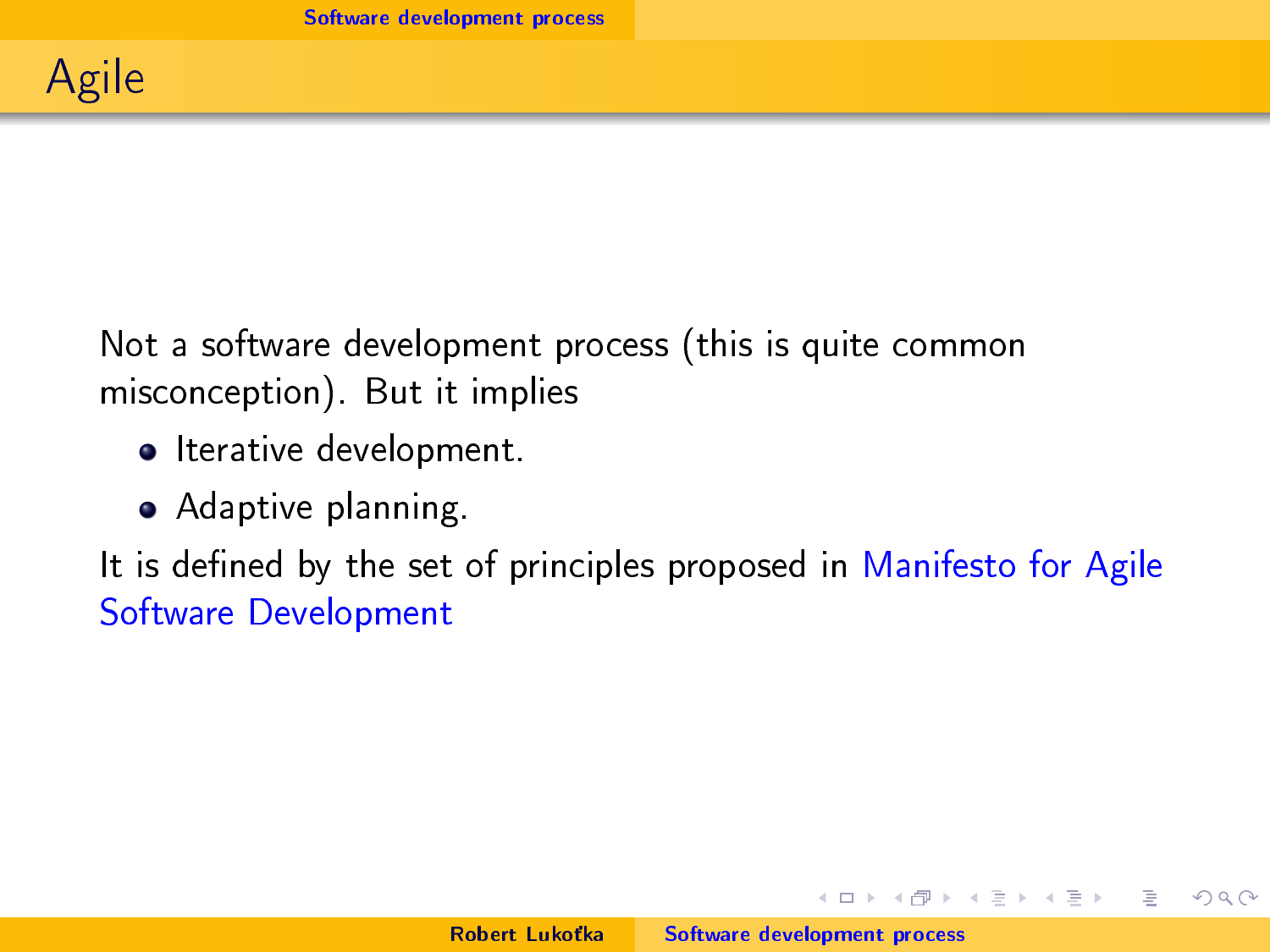Not a software development process (this is quite common misconception). But it implies

- **•** Iterative development.
- **•** Adaptive planning.

It is defined by the set of principles proposed in [Manifesto for Agile](https://agilemanifesto.org/) [Software Development](https://agilemanifesto.org/)

 $1.7 + 1.7 + 1.7$ 

 $\equiv$   $\rightarrow$  $\rightarrow$   $\pm$   $\rightarrow$   $\equiv$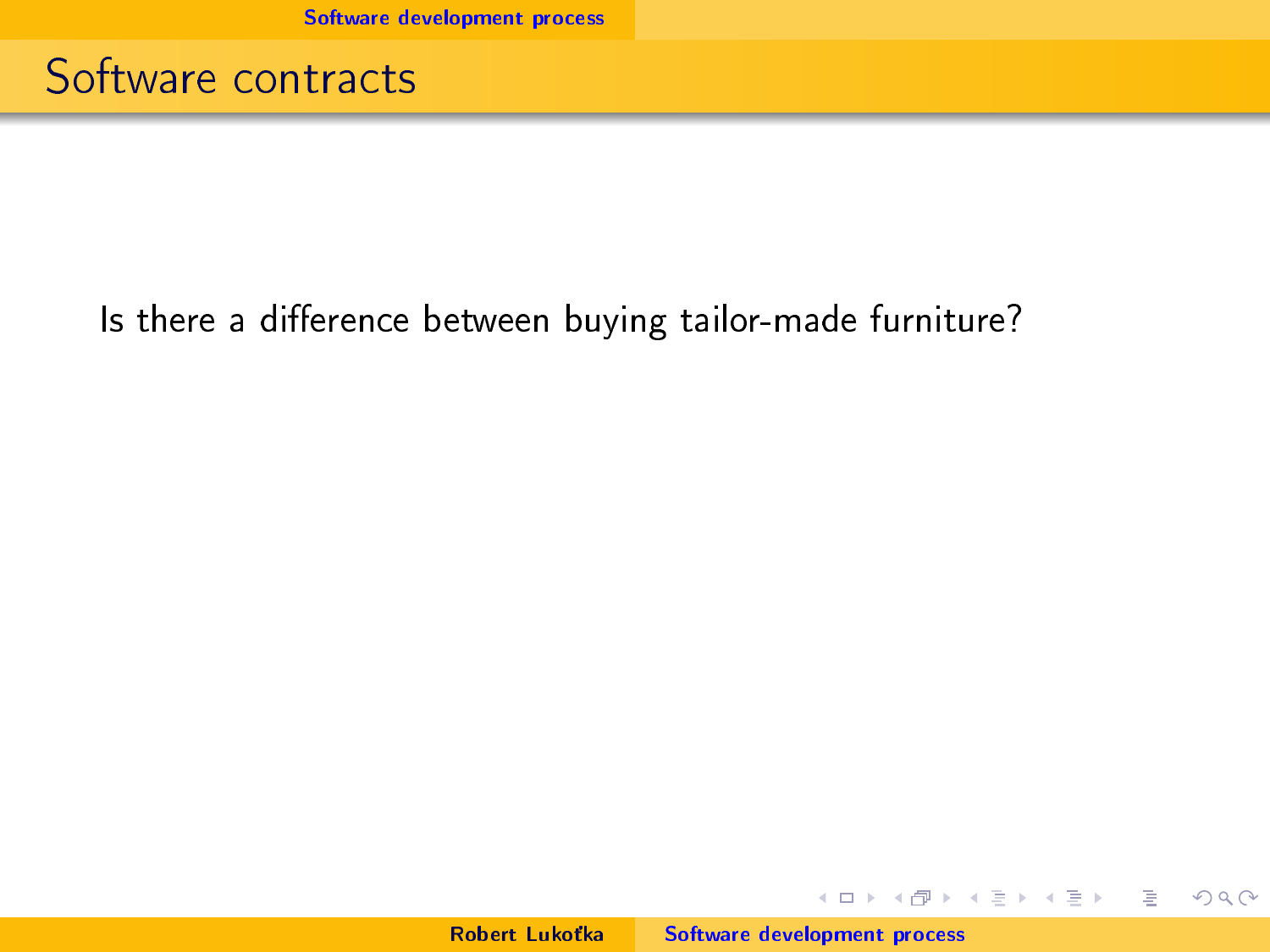Software contracts

#### Is there a difference between buying tailor-made furniture?

メロト メタト メミト メミトー

重

 $2Q$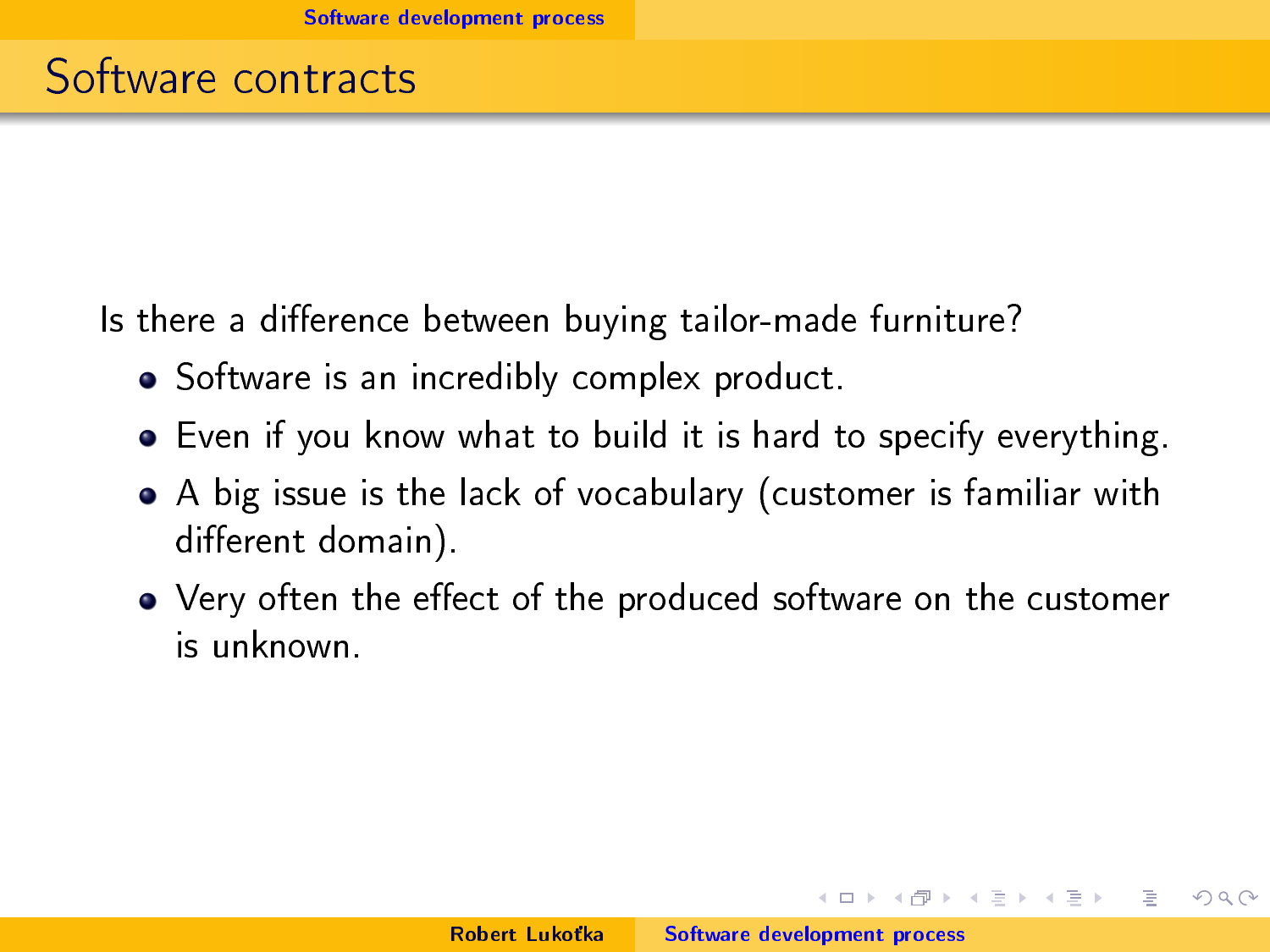Is there a difference between buying tailor-made furniture?

- Software is an incredibly complex product.
- Even if you know what to build it is hard to specify everything.
- A big issue is the lack of vocabulary (customer is familiar with different domain).
- Very often the effect of the produced software on the customer is unknown.

 $1.7 + 1.7 + 1.7$ 

 $\rightarrow$   $\pm$   $\rightarrow$ 

 $\equiv$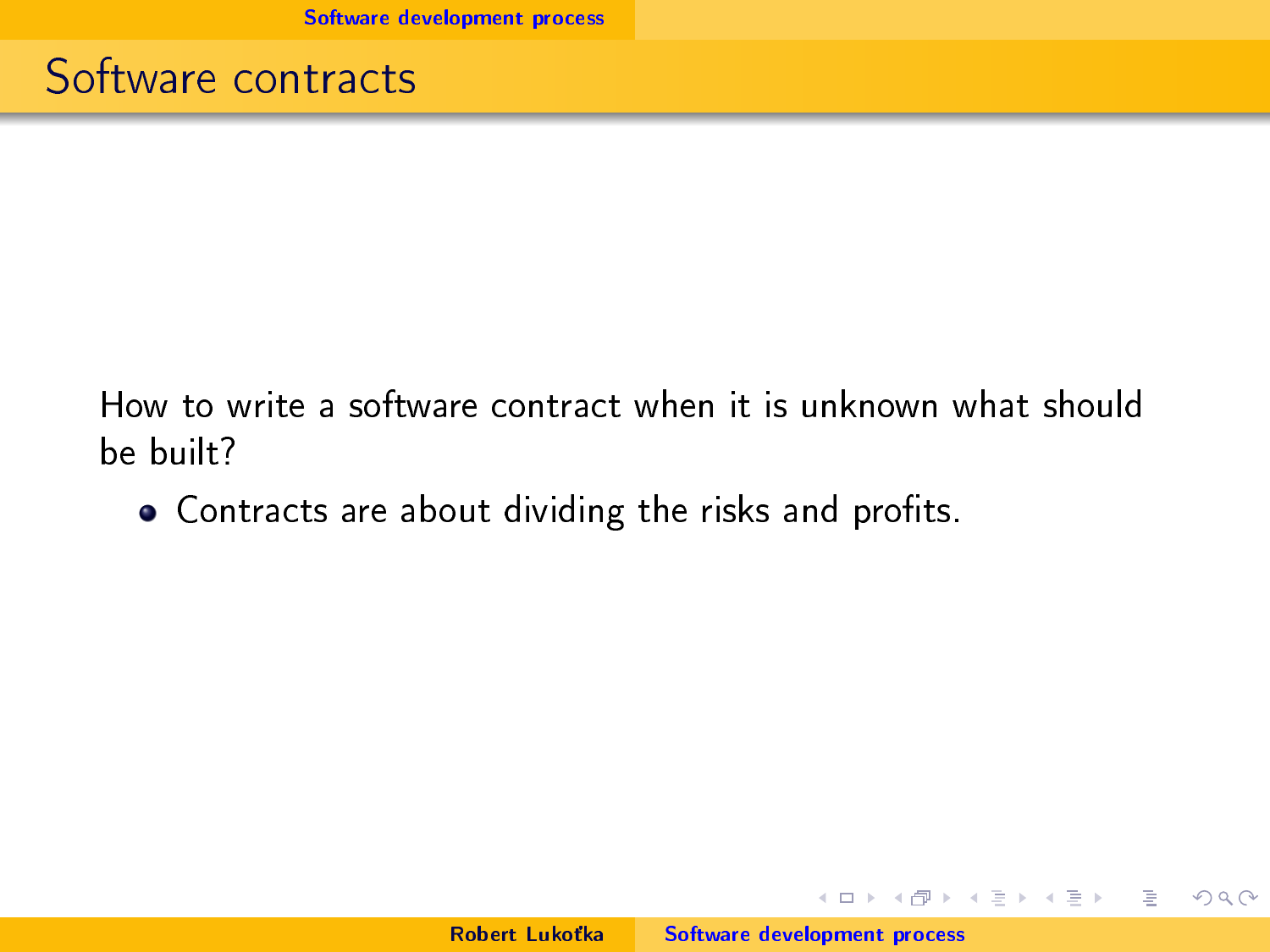Software contracts

How to write a software contract when it is unknown what should be built?

• Contracts are about dividing the risks and profits.

イロメ イ部メ イヨメ イヨメー

 $\equiv$ 

 $OQ$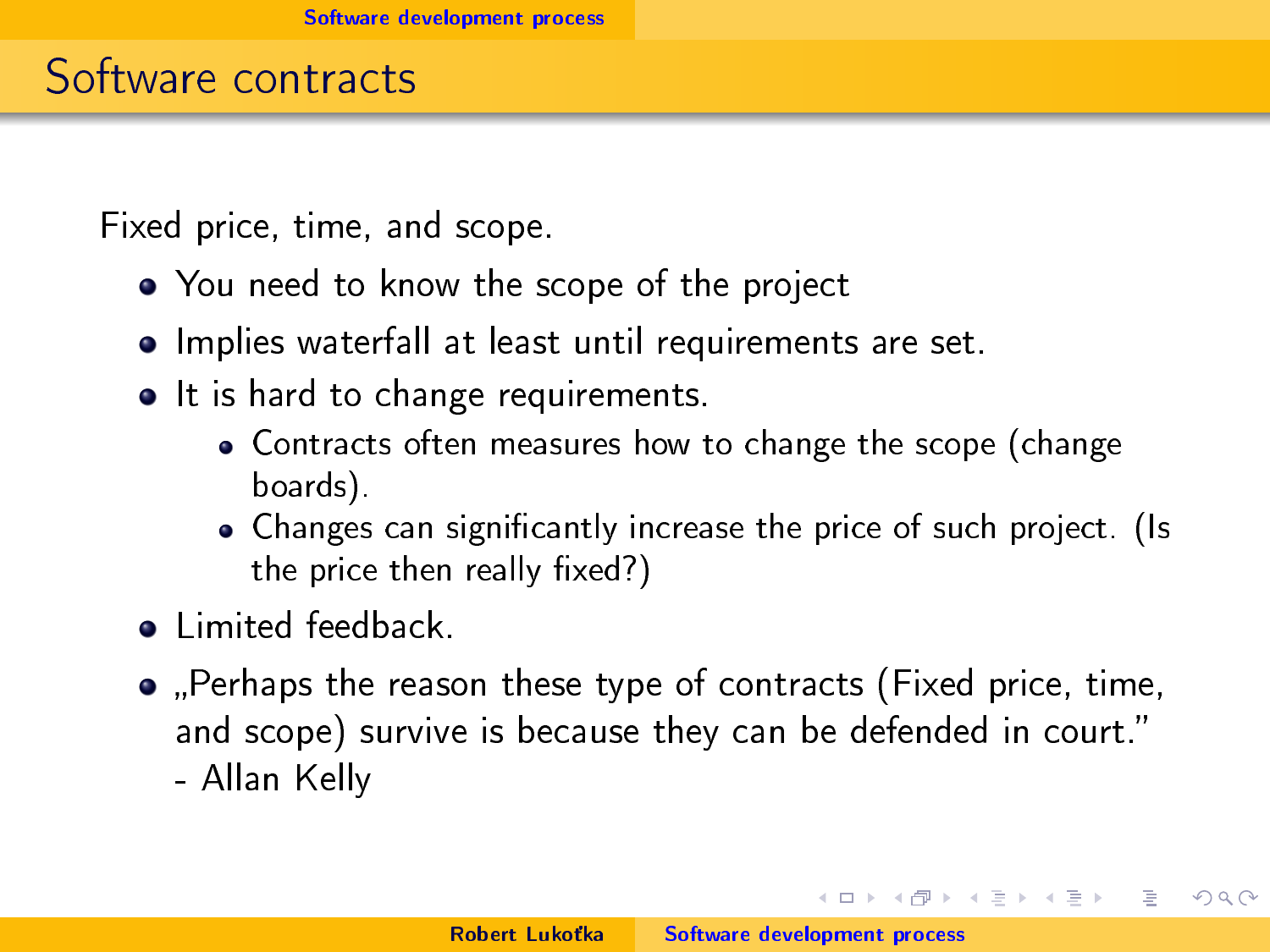#### Software contracts

Fixed price, time, and scope.

- You need to know the scope of the project
- **•** Implies waterfall at least until requirements are set.
- It is hard to change requirements.
	- Contracts often measures how to change the scope (change boards).
	- Changes can significantly increase the price of such project. (Is the price then really  $fixed?$ )
- **a** Limited feedback.
- Perhaps the reason these type of contracts (Fixed price, time, and scope) survive is because they can be defended in court. - Allan Kelly

イロト イ母 トイラト

重量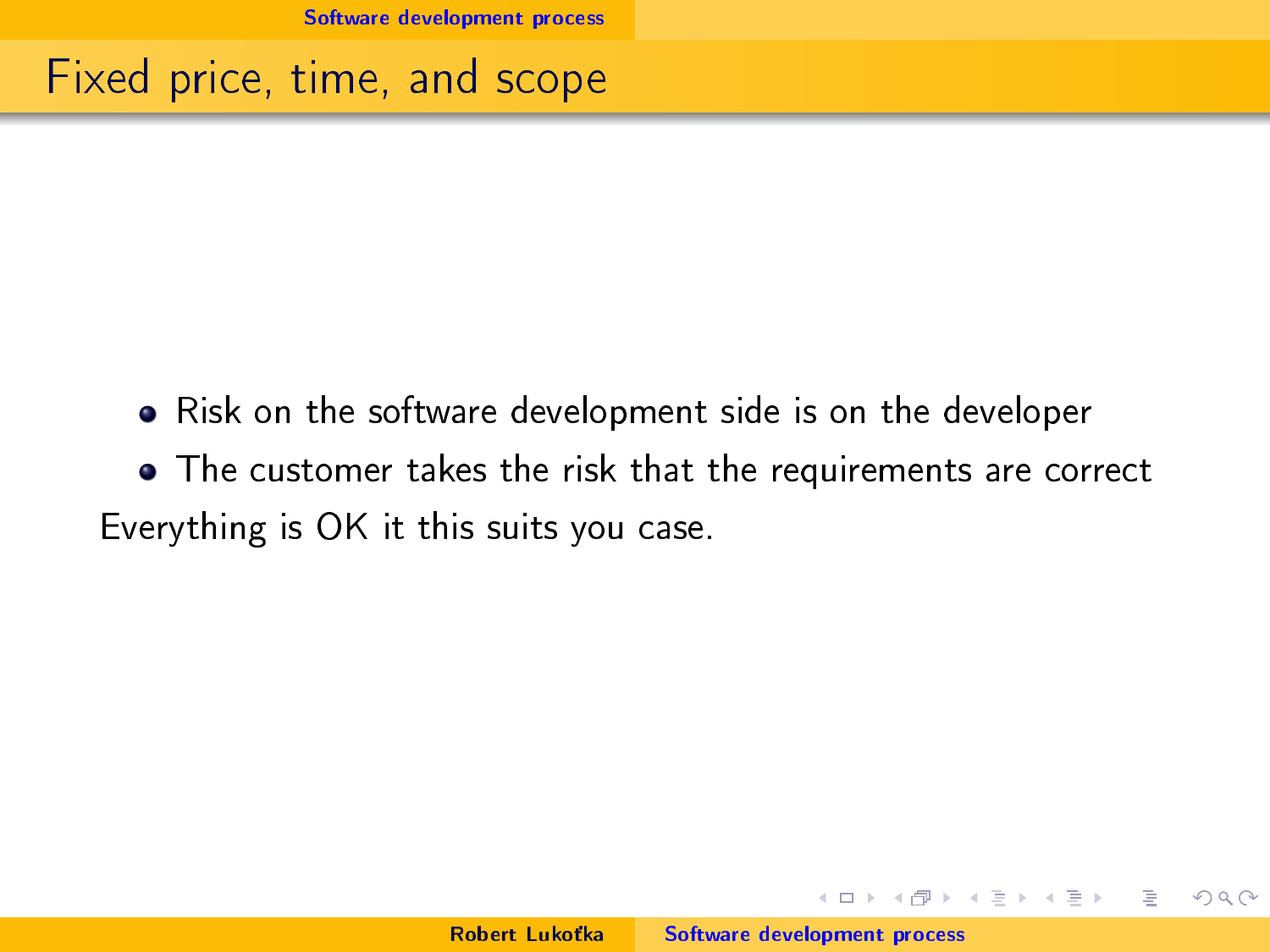Fixed price, time, and scope

- Risk on the software development side is on the developer
- The customer takes the risk that the requirements are correct Everything is OK it this suits you case.

 $1.7 + 1.7 + 1.7$ 

 $\equiv$   $\rightarrow$ 

重量 ∍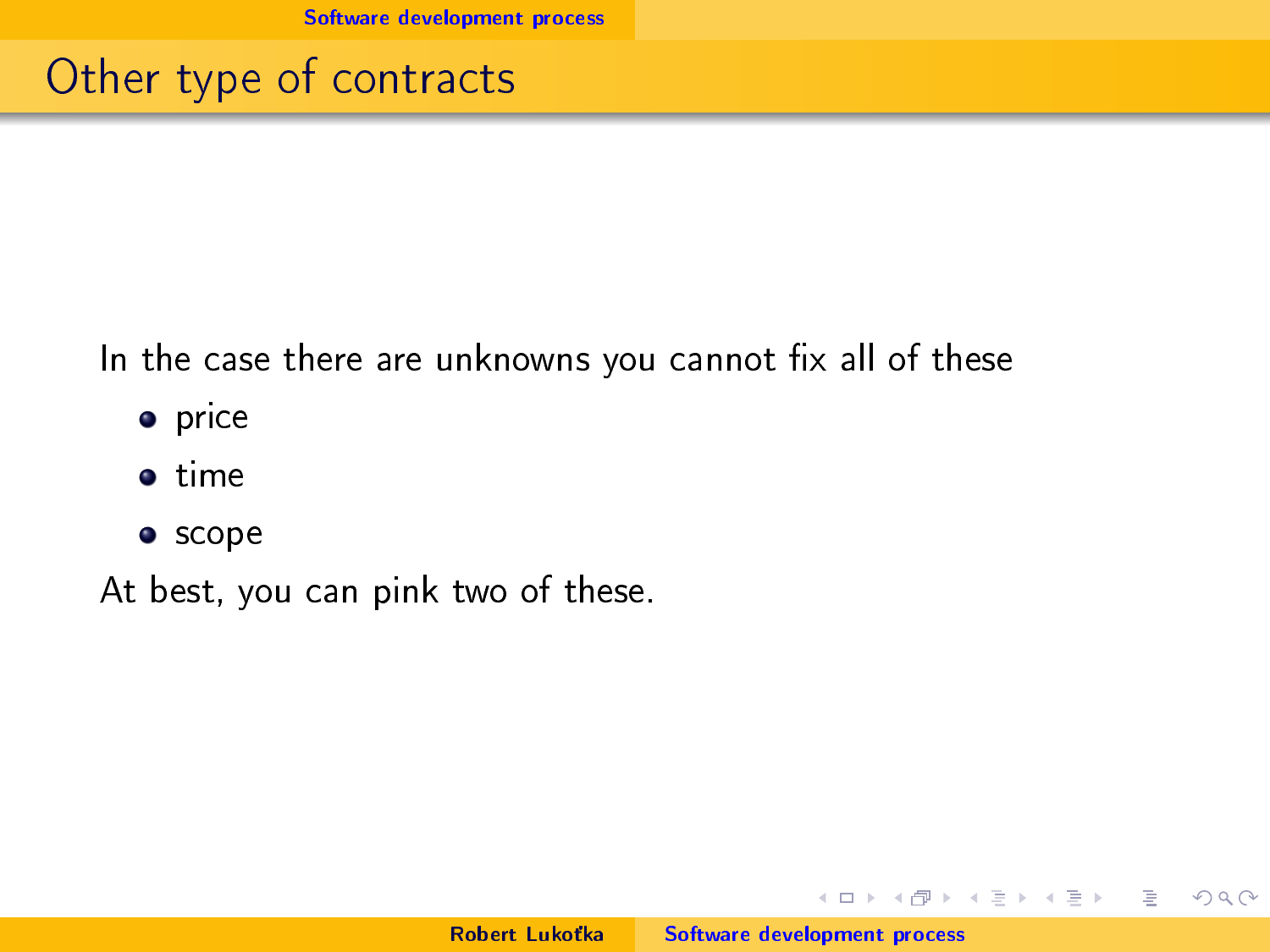#### Other type of contracts

In the case there are unknowns you cannot fix all of these

- o price
- **o** time
- **•** scope

At best, you can pink two of these.

イロト イ部 トイモト イモトー

 $\equiv$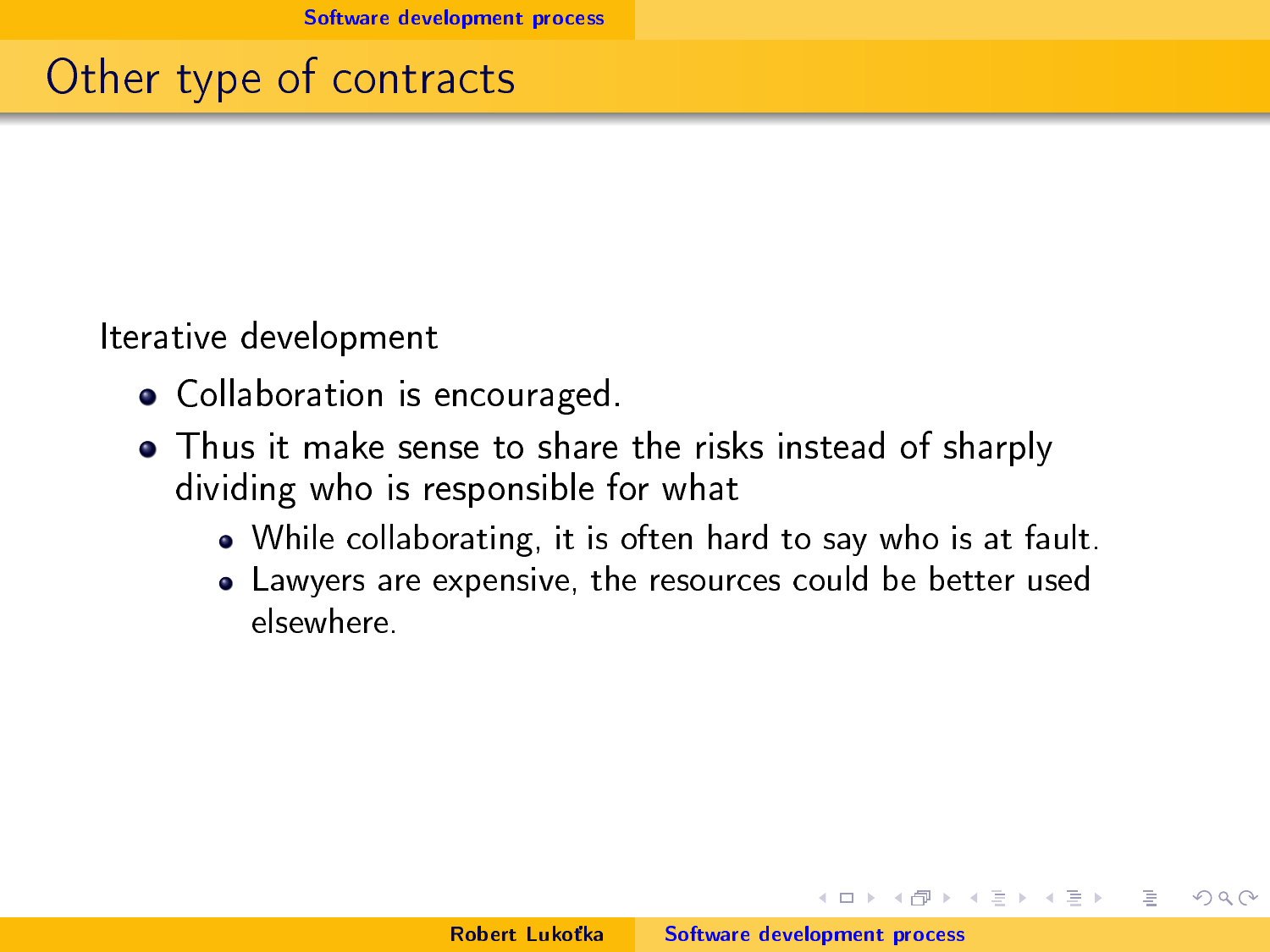### Other type of contracts

Iterative development

- Collaboration is encouraged.
- Thus it make sense to share the risks instead of sharply dividing who is responsible for what
	- While collaborating, it is often hard to say who is at fault.
	- Lawyers are expensive, the resources could be better used elsewhere.

 $4.71 \times 4.77 \times$ 

 $\equiv$   $\rightarrow$  $\rightarrow$   $\pm$   $\rightarrow$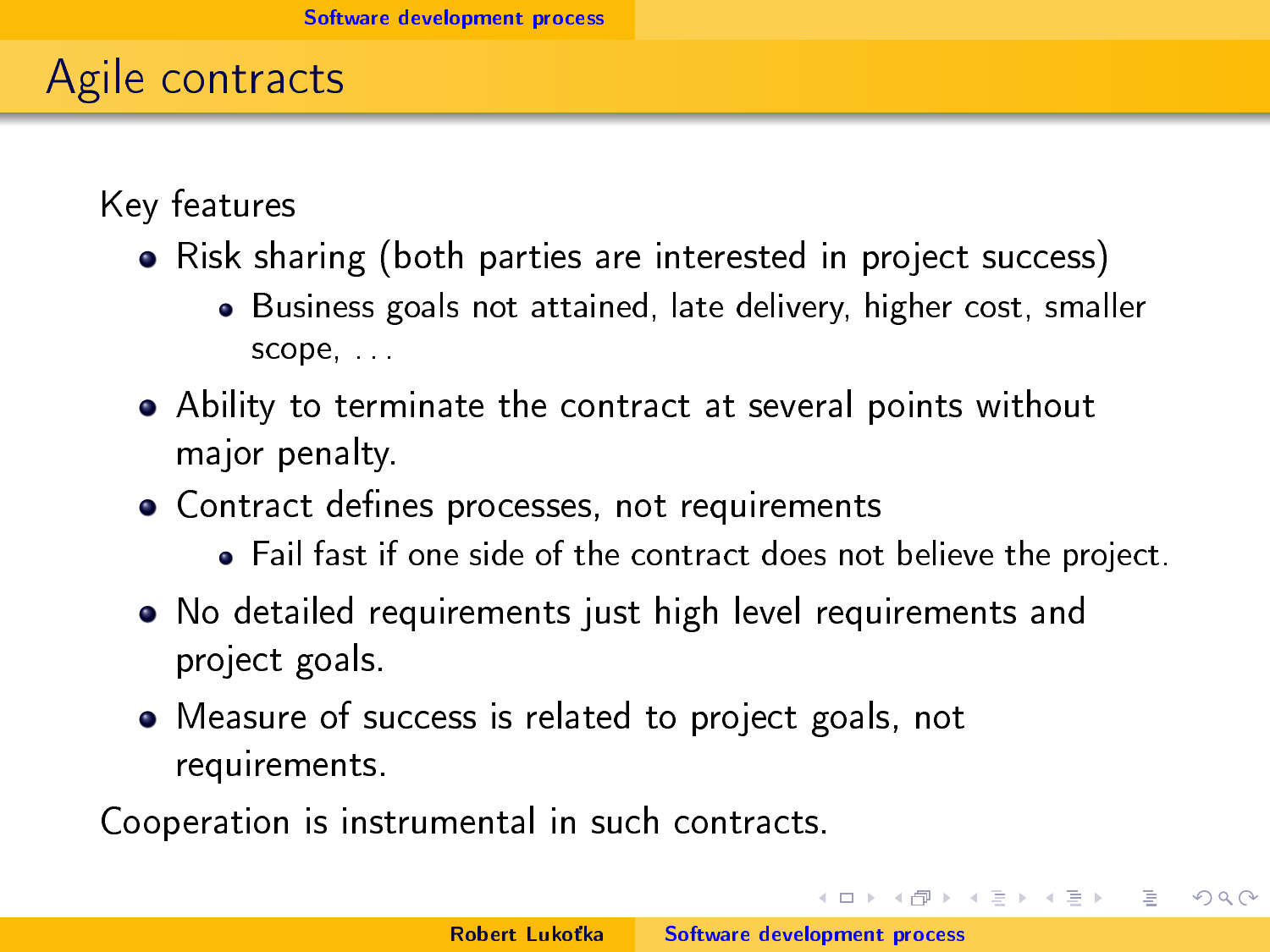# Agile contracts

Key features

- Risk sharing (both parties are interested in project success)
	- Business goals not attained, late delivery, higher cost, smaller scope, . . .
- Ability to terminate the contract at several points without major penalty.
- Contract defines processes, not requirements
	- Fail fast if one side of the contract does not believe the project.
- No detailed requirements just high level requirements and project goals.
- Measure of success is related to project goals, not requirements.

Cooperation is instrumental in such contracts.

 $4.11 \times 4.49 \times 4.31$ 

The project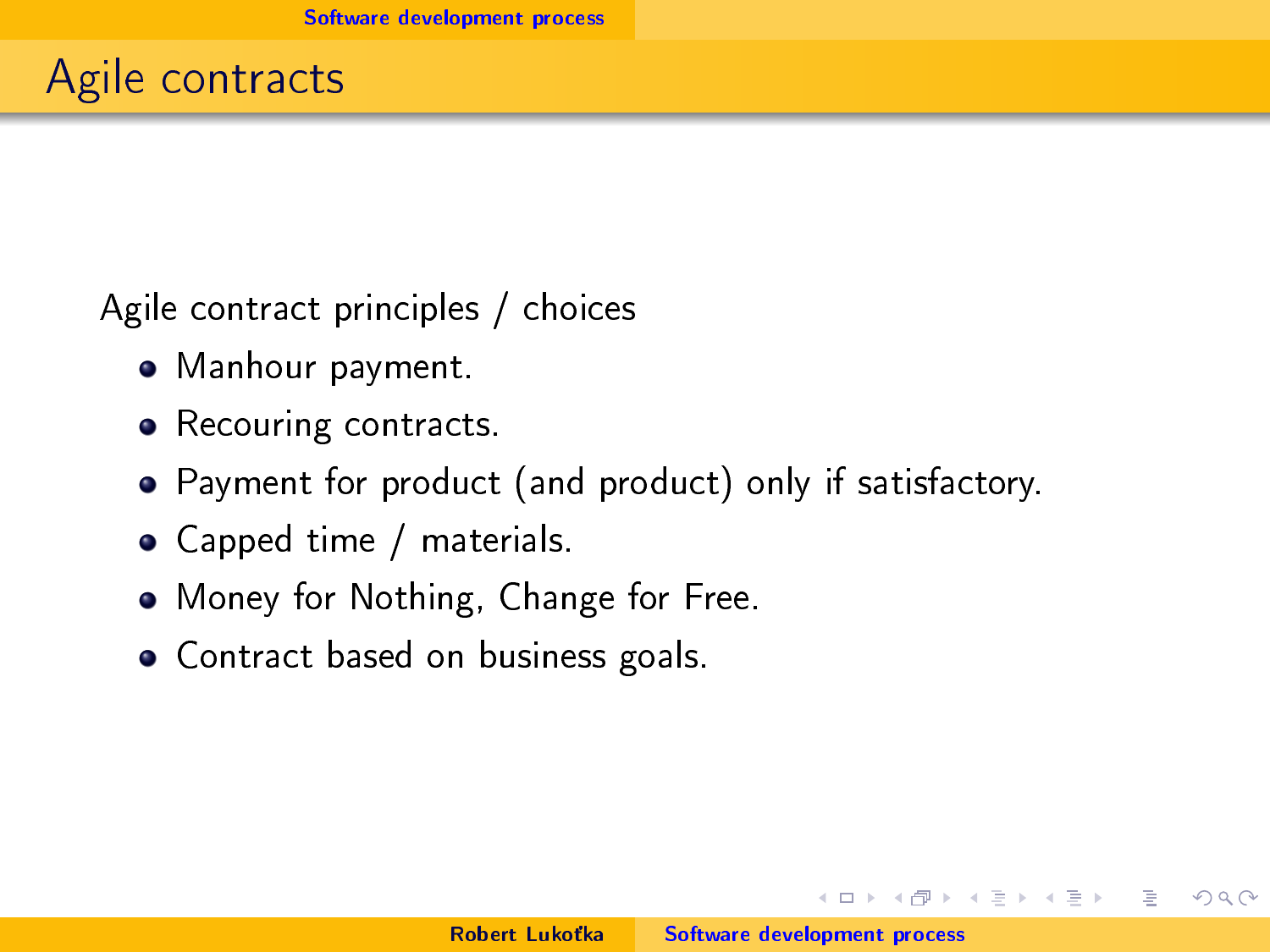Agile contract principles / choices

- Manhour payment.
- Recouring contracts.
- Payment for product (and product) only if satisfactory.
- Capped time / materials.
- Money for Nothing, Change for Free.
- Contract based on business goals.

 $1.7 + 1.7 + 1.7$ 

重量  $\equiv$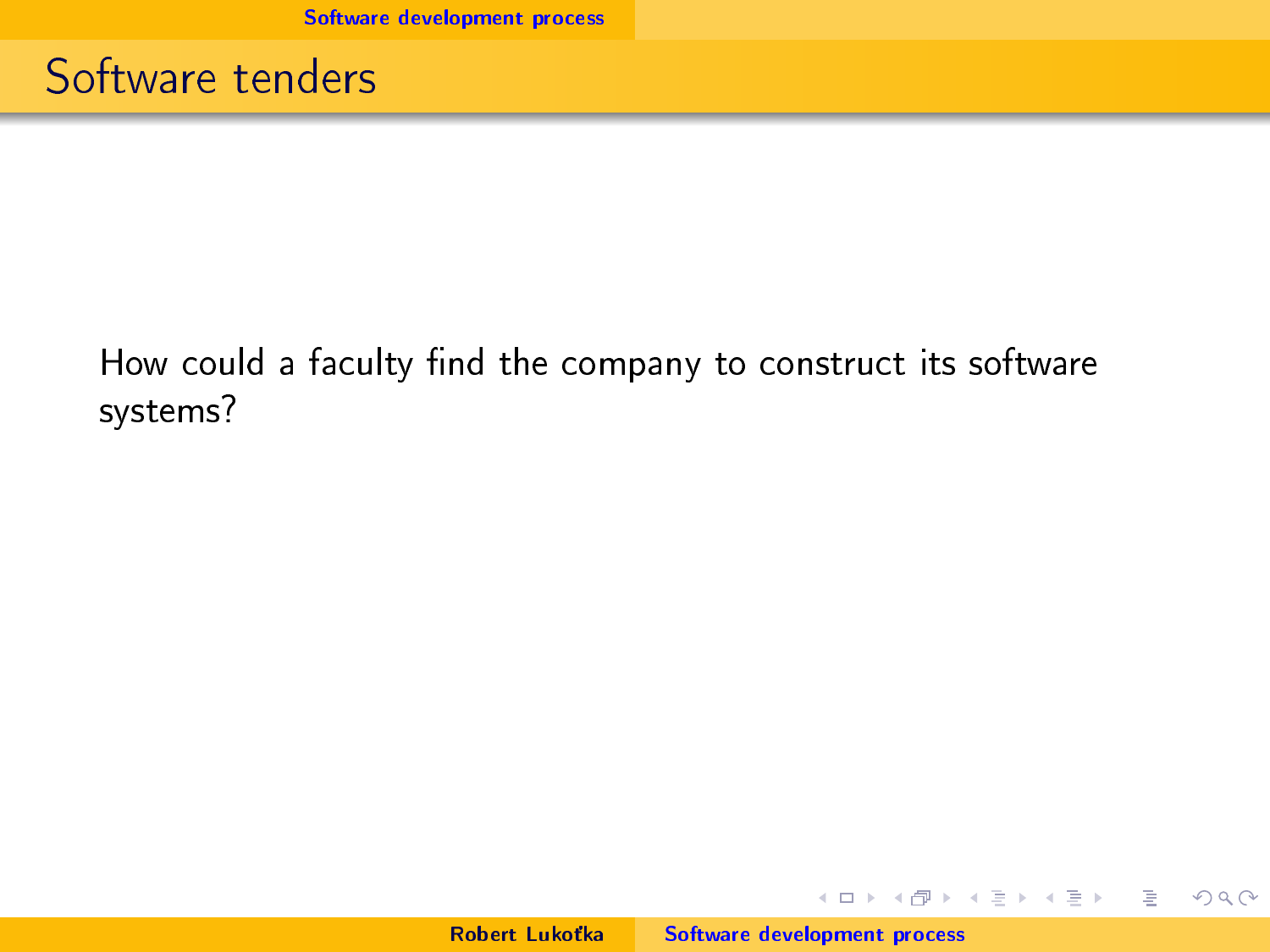Software tenders

#### How could a faculty find the company to construct its software systems?

イロト イ部 トイモト イモトー

重

 $2Q$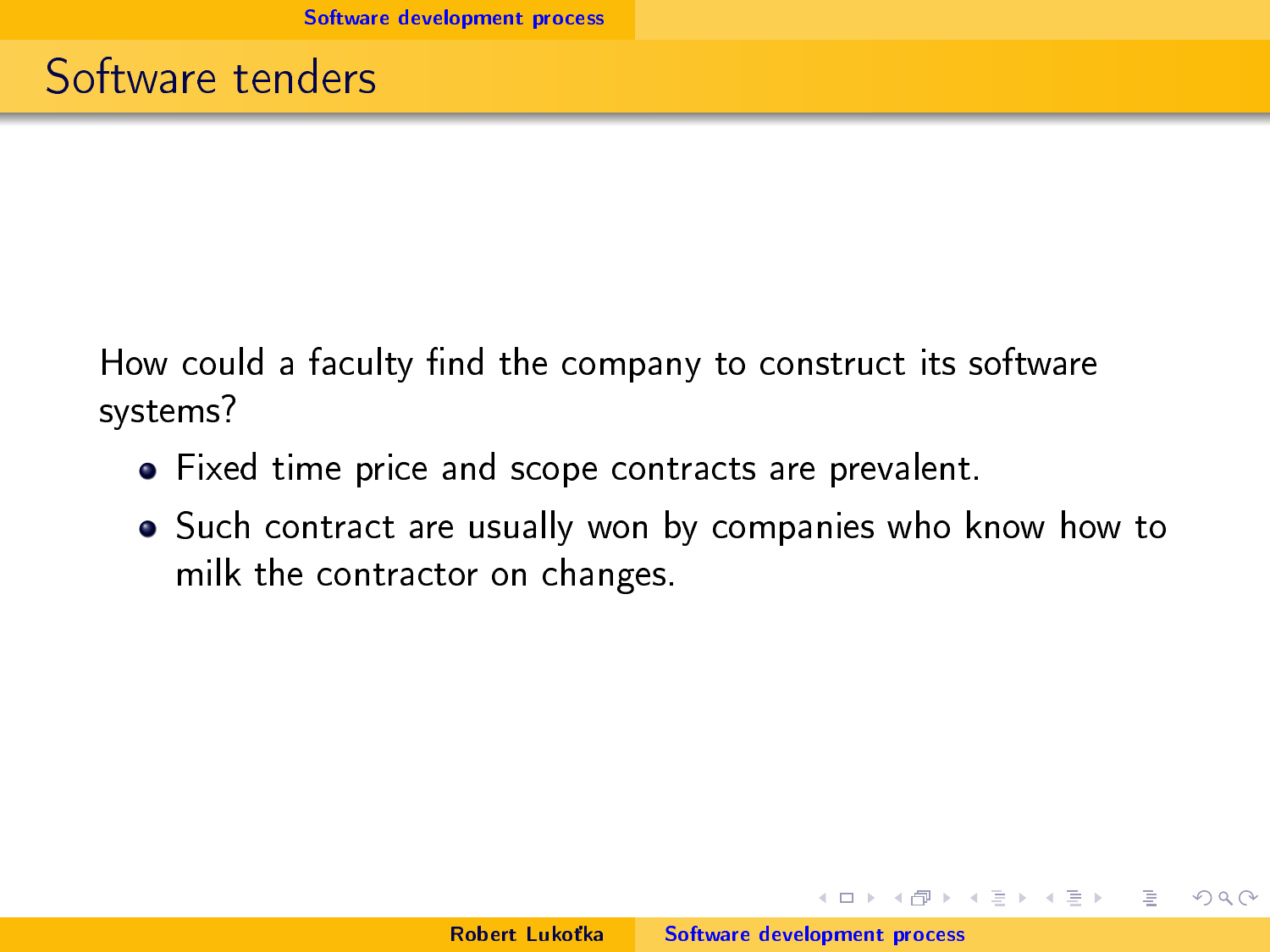How could a faculty find the company to construct its software systems?

- Fixed time price and scope contracts are prevalent.
- Such contract are usually won by companies who know how to milk the contractor on changes.

 $4.71 \times 4.77 \times$ 

 $\mathbb{B}$  is a  $\mathbb{B}$  is a

 $\equiv$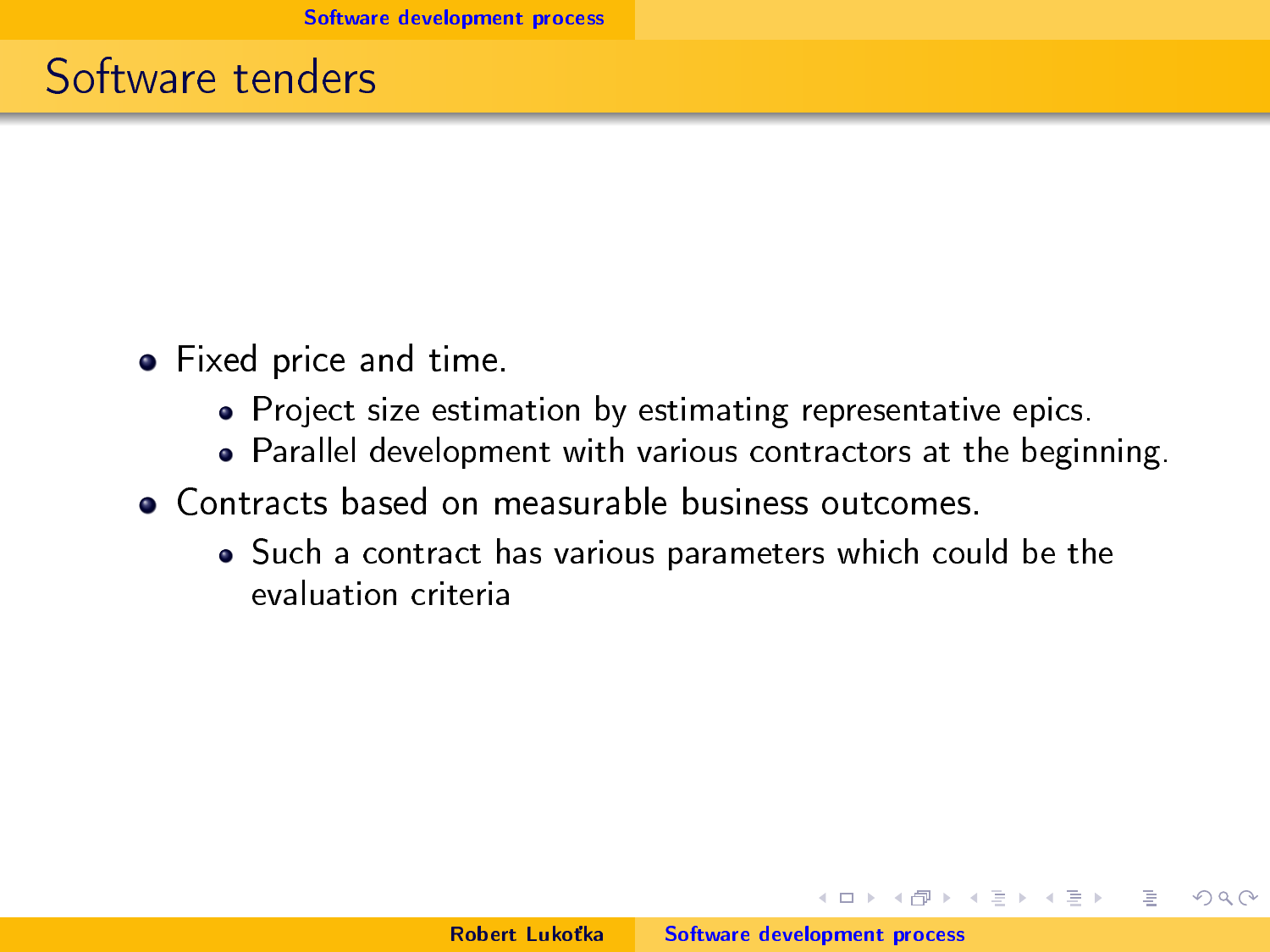#### Software tenders

- Fixed price and time.
	- Project size estimation by estimating representative epics.
	- Parallel development with various contractors at the beginning.
- Contracts based on measurable business outcomes.
	- Such a contract has various parameters which could be the evaluation criteria

イロト マ母 トマ ヨト マ ヨトー

 $\equiv$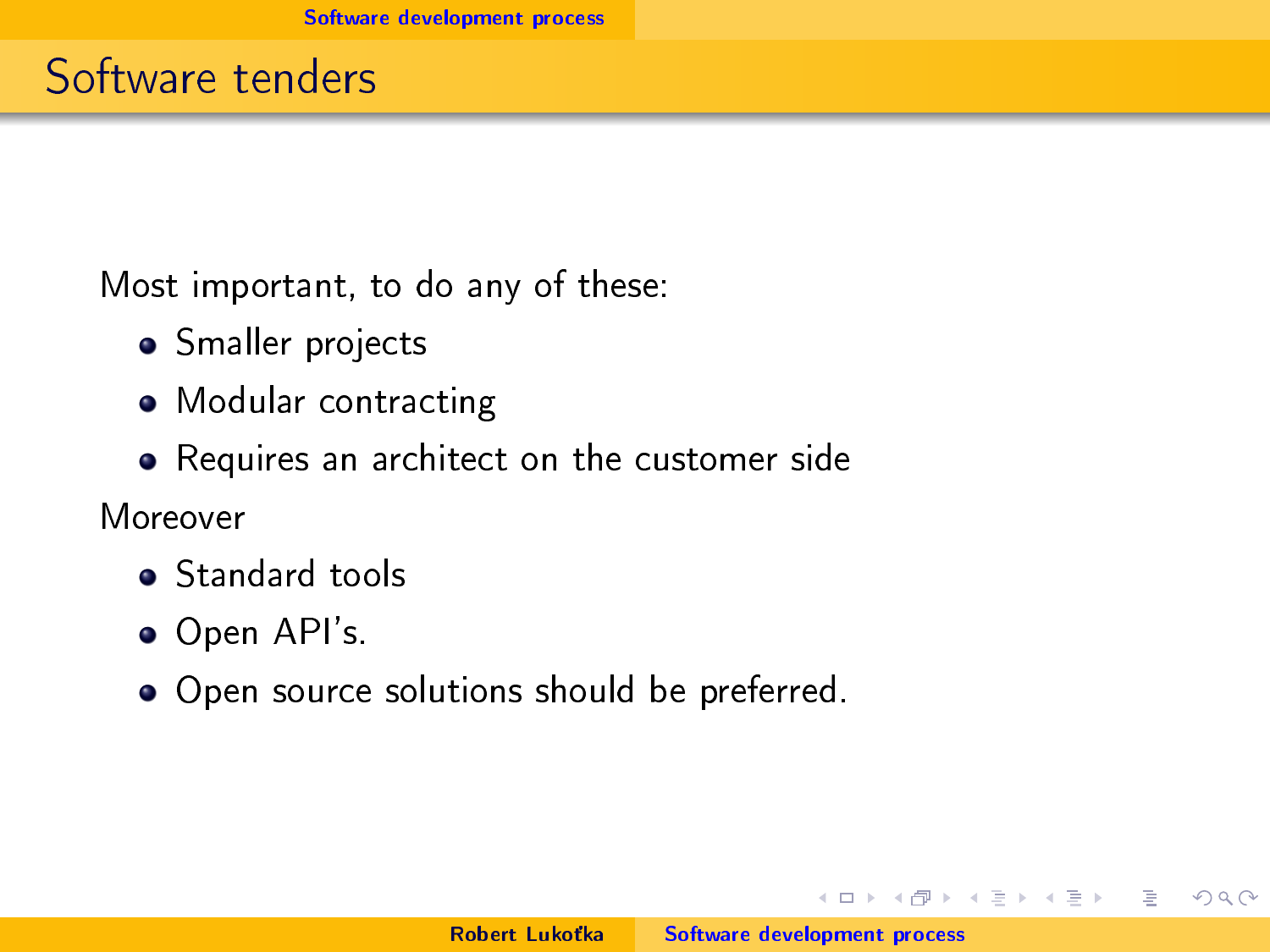Most important, to do any of these:

- Smaller projects
- Modular contracting
- Requires an architect on the customer side

Moreover

- **Standard tools**
- Open API's.
- Open source solutions should be preferred.

 $1.7 + 1.7 + 1.7$ 

 $\rightarrow$   $\pm$   $\rightarrow$ 

 $\equiv$   $\rightarrow$ 

 $\equiv$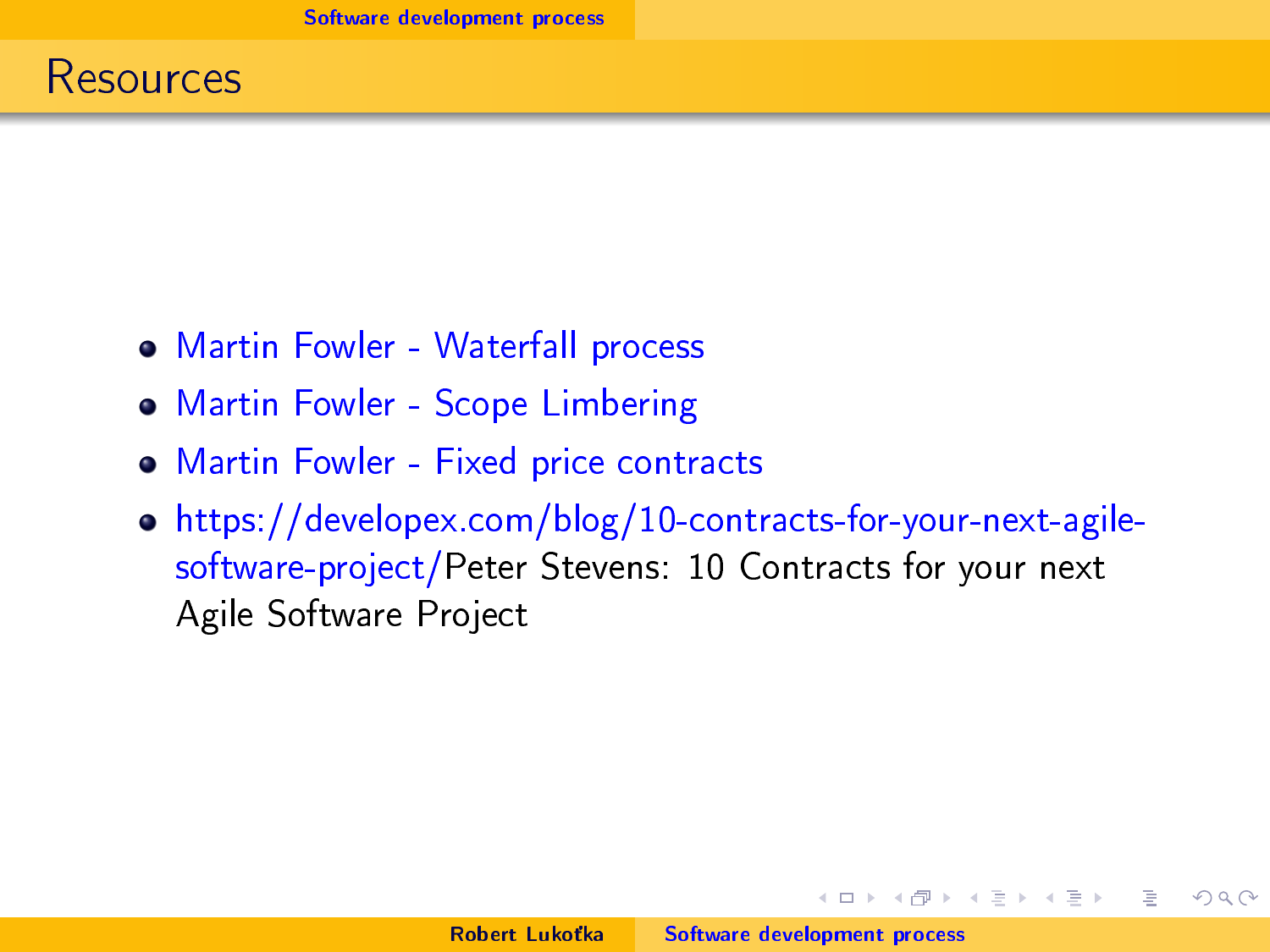- [Martin Fowler Waterfall process](https://martinfowler.com/bliki/WaterfallProcess.html)
- [Martin Fowler Scope Limbering](https://www.martinfowler.com/bliki/ScopeLimbering.html)
- [Martin Fowler Fixed price contracts](https://www.martinfowler.com/bliki/FixedPrice.html)
- [https://developex.com/blog/10-contracts-for-your-next-agile](https://developex.com/blog/10-contracts-for-your-next-agile-software-project/)[software-project/P](https://developex.com/blog/10-contracts-for-your-next-agile-software-project/)eter Stevens: 10 Contracts for your next Agile Software Project

 $1.7 + 1.7 + 1.7$ 

重量